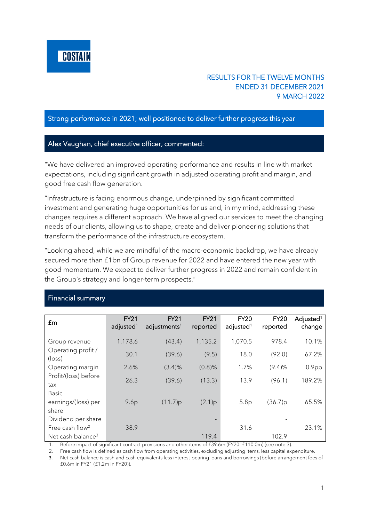

## RESULTS FOR THE TWELVE MONTHS ENDED 31 DECEMBER 2021 9 MARCH 2022

#### Strong performance in 2021; well positioned to deliver further progress this year

### Alex Vaughan, chief executive officer, commented:

"We have delivered an improved operating performance and results in line with market expectations, including significant growth in adjusted operating profit and margin, and good free cash flow generation.

"Infrastructure is facing enormous change, underpinned by significant committed investment and generating huge opportunities for us and, in my mind, addressing these changes requires a different approach. We have aligned our services to meet the changing needs of our clients, allowing us to shape, create and deliver pioneering solutions that transform the performance of the infrastructure ecosystem.

"Looking ahead, while we are mindful of the macro-economic backdrop, we have already secured more than £1bn of Group revenue for 2022 and have entered the new year with good momentum. We expect to deliver further progress in 2022 and remain confident in the Group's strategy and longer-term prospects."

| <b>Financial summary</b> |
|--------------------------|
|                          |

| £m                                    | <b>FY21</b><br>adjusted <sup>1</sup> | <b>FY21</b><br>adjustments <sup>1</sup> | <b>FY21</b><br>reported | <b>FY20</b><br>adjusted <sup>1</sup> | <b>FY20</b><br>reported | Adjusted <sup>1</sup><br>change |
|---------------------------------------|--------------------------------------|-----------------------------------------|-------------------------|--------------------------------------|-------------------------|---------------------------------|
| Group revenue                         | 1,178.6                              | (43.4)                                  | 1,135.2                 | 1,070.5                              | 978.4                   | 10.1%                           |
| Operating profit /<br>$(\text{loss})$ | 30.1                                 | (39.6)                                  | (9.5)                   | 18.0                                 | (92.0)                  | 67.2%                           |
| Operating margin                      | 2.6%                                 | (3.4)%                                  | $(0.8)$ %               | 1.7%                                 | (9.4)%                  | 0.9 <sub>pp</sub>               |
| Profit/(loss) before<br>tax           | 26.3                                 | (39.6)                                  | (13.3)                  | 13.9                                 | (96.1)                  | 189.2%                          |
| <b>Basic</b>                          |                                      |                                         |                         |                                      |                         |                                 |
| earnings/(loss) per<br>share          | 9.6p                                 | (11.7)p                                 | (2.1)p                  | 5.8p                                 | (36.7)p                 | 65.5%                           |
| Dividend per share                    |                                      |                                         |                         |                                      |                         |                                 |
| Free cash flow <sup>2</sup>           | 38.9                                 |                                         |                         | 31.6                                 |                         | 23.1%                           |
| Net cash balance <sup>3</sup>         |                                      |                                         | 119.4                   |                                      | 102.9                   |                                 |

1. Before impact of significant contract provisions and other items of £39.6m (FY20: £110.0m) (see note 3).

2. Free cash flow is defined as cash flow from operating activities, excluding adjusting items, less capital expenditure.

3. Net cash balance is cash and cash equivalents less interest-bearing loans and borrowings (before arrangement fees of £0.6m in FY21 (£1.2m in FY20)).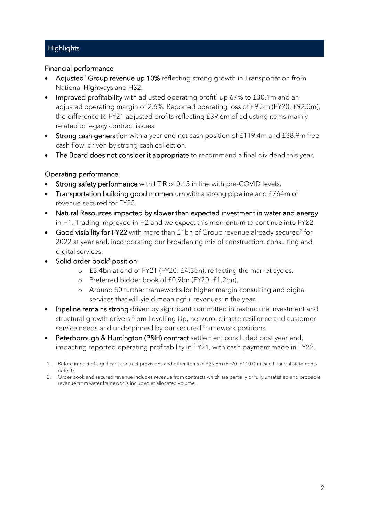# **Highlights**

### Financial performance

- Adjusted<sup>1</sup> Group revenue up 10% reflecting strong growth in Transportation from National Highways and HS2.
- Improved profitability with adjusted operating profit<sup>1</sup> up 67% to £30.1m and an adjusted operating margin of 2.6%. Reported operating loss of £9.5m (FY20: £92.0m), the difference to FY21 adjusted profits reflecting £39.6m of adjusting items mainly related to legacy contract issues.
- Strong cash generation with a year end net cash position of £119.4m and £38.9m free cash flow, driven by strong cash collection.
- The Board does not consider it appropriate to recommend a final dividend this year.

## Operating performance

- Strong safety performance with LTIR of 0.15 in line with pre-COVID levels.
- **Transportation building good momentum** with a strong pipeline and £764m of revenue secured for FY22.
- Natural Resources impacted by slower than expected investment in water and energy in H1. Trading improved in H2 and we expect this momentum to continue into FY22.
- Good visibility for FY22 with more than  $f$ 1 bn of Group revenue already secured<sup>2</sup> for 2022 at year end, incorporating our broadening mix of construction, consulting and digital services.
- Solid order book<sup>2</sup> position:
	- o £3.4bn at end of FY21 (FY20: £4.3bn), reflecting the market cycles.
	- o Preferred bidder book of £0.9bn (FY20: £1.2bn).
	- o Around 50 further frameworks for higher margin consulting and digital services that will yield meaningful revenues in the year.
- Pipeline remains strong driven by significant committed infrastructure investment and structural growth drivers from Levelling Up, net zero, climate resilience and customer service needs and underpinned by our secured framework positions.
- Peterborough & Huntington (P&H) contract settlement concluded post year end, impacting reported operating profitability in FY21, with cash payment made in FY22.

<sup>1.</sup> Before impact of significant contract provisions and other items of £39.6m (FY20: £110.0m) (see financial statements note 3).

<sup>2.</sup> Order book and secured revenue includes revenue from contracts which are partially or fully unsatisfied and probable revenue from water frameworks included at allocated volume.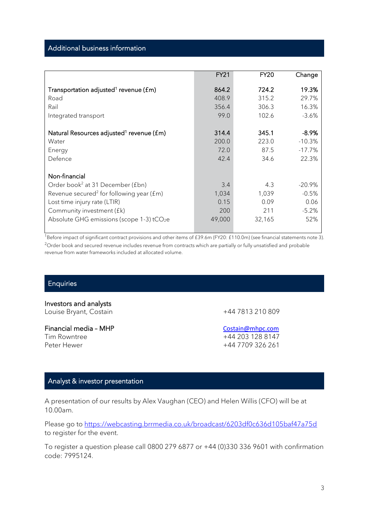#### Additional business information

|                                                          | <b>FY21</b> | <b>FY20</b> | Change   |
|----------------------------------------------------------|-------------|-------------|----------|
| Transportation adjusted <sup>1</sup> revenue (£m)        | 864.2       | 724.2       | 19.3%    |
| Road                                                     | 408.9       | 315.2       | 29.7%    |
| Rail                                                     | 356.4       | 306.3       | 16.3%    |
| Integrated transport                                     | 99.0        | 102.6       | $-3.6\%$ |
|                                                          |             |             |          |
| Natural Resources adjusted <sup>1</sup> revenue (£m)     | 314.4       | 345.1       | -8.9%    |
| Water                                                    | 200.0       | 223.0       | $-10.3%$ |
| Energy                                                   | 72.0        | 87.5        | $-17.7%$ |
| Defence                                                  | 42.4        | 34.6        | 22.3%    |
|                                                          |             |             |          |
| Non-financial                                            |             |             |          |
| Order book <sup>2</sup> at 31 December (£bn)             | 3.4         | 4.3         | $-20.9%$ |
| Revenue secured <sup>2</sup> for following year ( $fm$ ) | 1,034       | 1,039       | $-0.5%$  |
| Lost time injury rate (LTIR)                             | 0.15        | 0.09        | 0.06     |
| Community investment (£k)                                | 200         | 211         | $-5.2%$  |
| Absolute GHG emissions (scope 1-3) tCO <sub>2</sub> e    | 49,000      | 32,165      | 52%      |
|                                                          |             |             |          |

 $\frac{1}{1}$ Before impact of significant contract provisions and other items of £39.6m (FY20: £110.0m) (see financial statements note 3). <sup>2</sup>Order book and secured revenue includes revenue from contracts which are partially or fully unsatisfied and probable revenue from water frameworks included at allocated volume.

## **Enquiries**

Investors and analysts Louise Bryant, Costain +44 7813 210 809

Financial media – MHP [Costain@mhpc.com](mailto:Costain@mhpc.com)<br>
Tim Rowntree<br>
Tim Rowntree Peter Hewer +44 7709 326 261

+44 203 128 8147

## Analyst & investor presentation

A presentation of our results by Alex Vaughan (CEO) and Helen Willis (CFO) will be at 10.00am.

Please go to <https://webcasting.brrmedia.co.uk/broadcast/6203df0c636d105baf47a75d> to register for the event.

To register a question please call 0800 279 6877 or +44 (0)330 336 9601 with confirmation code: 7995124.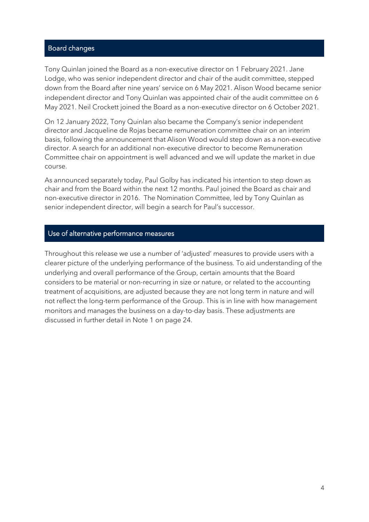#### Board changes

Tony Quinlan joined the Board as a non-executive director on 1 February 2021. Jane Lodge, who was senior independent director and chair of the audit committee, stepped down from the Board after nine years' service on 6 May 2021. Alison Wood became senior independent director and Tony Quinlan was appointed chair of the audit committee on 6 May 2021. Neil Crockett joined the Board as a non-executive director on 6 October 2021.

On 12 January 2022, Tony Quinlan also became the Company's senior independent director and Jacqueline de Rojas became remuneration committee chair on an interim basis, following the announcement that Alison Wood would step down as a non-executive director. A search for an additional non-executive director to become Remuneration Committee chair on appointment is well advanced and we will update the market in due course.

As announced separately today, Paul Golby has indicated his intention to step down as chair and from the Board within the next 12 months. Paul joined the Board as chair and non-executive director in 2016. The Nomination Committee, led by Tony Quinlan as senior independent director, will begin a search for Paul's successor.

#### Use of alternative performance measures

Throughout this release we use a number of 'adjusted' measures to provide users with a clearer picture of the underlying performance of the business. To aid understanding of the underlying and overall performance of the Group, certain amounts that the Board considers to be material or non-recurring in size or nature, or related to the accounting treatment of acquisitions, are adjusted because they are not long term in nature and will not reflect the long-term performance of the Group. This is in line with how management monitors and manages the business on a day-to-day basis. These adjustments are discussed in further detail in Note 1 on page 24.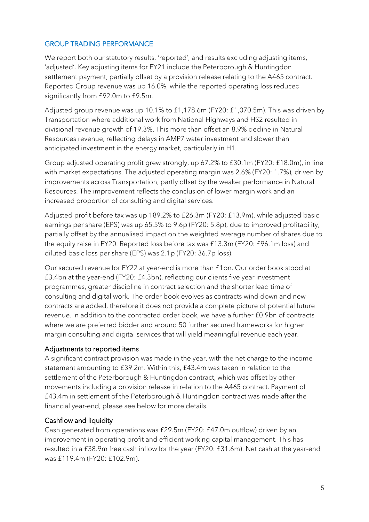### GROUP TRADING PERFORMANCE

We report both our statutory results, 'reported', and results excluding adjusting items, 'adjusted'. Key adjusting items for FY21 include the Peterborough & Huntingdon settlement payment, partially offset by a provision release relating to the A465 contract. Reported Group revenue was up 16.0%, while the reported operating loss reduced significantly from £92.0m to £9.5m.

Adjusted group revenue was up 10.1% to £1,178.6m (FY20: £1,070.5m). This was driven by Transportation where additional work from National Highways and HS2 resulted in divisional revenue growth of 19.3%. This more than offset an 8.9% decline in Natural Resources revenue, reflecting delays in AMP7 water investment and slower than anticipated investment in the energy market, particularly in H1.

Group adjusted operating profit grew strongly, up 67.2% to £30.1m (FY20: £18.0m), in line with market expectations. The adjusted operating margin was 2.6% (FY20: 1.7%), driven by improvements across Transportation, partly offset by the weaker performance in Natural Resources. The improvement reflects the conclusion of lower margin work and an increased proportion of consulting and digital services.

Adjusted profit before tax was up 189.2% to £26.3m (FY20: £13.9m), while adjusted basic earnings per share (EPS) was up 65.5% to 9.6p (FY20: 5.8p), due to improved profitability, partially offset by the annualised impact on the weighted average number of shares due to the equity raise in FY20. Reported loss before tax was £13.3m (FY20: £96.1m loss) and diluted basic loss per share (EPS) was 2.1p (FY20: 36.7p loss).

Our secured revenue for FY22 at year-end is more than £1bn. Our order book stood at £3.4bn at the year-end (FY20: £4.3bn), reflecting our clients five year investment programmes, greater discipline in contract selection and the shorter lead time of consulting and digital work. The order book evolves as contracts wind down and new contracts are added, therefore it does not provide a complete picture of potential future revenue. In addition to the contracted order book, we have a further £0.9bn of contracts where we are preferred bidder and around 50 further secured frameworks for higher margin consulting and digital services that will yield meaningful revenue each year.

### Adjustments to reported items

A significant contract provision was made in the year, with the net charge to the income statement amounting to £39.2m. Within this, £43.4m was taken in relation to the settlement of the Peterborough & Huntingdon contract, which was offset by other movements including a provision release in relation to the A465 contract. Payment of £43.4m in settlement of the Peterborough & Huntingdon contract was made after the financial year-end, please see below for more details.

### Cashflow and liquidity

Cash generated from operations was £29.5m (FY20: £47.0m outflow) driven by an improvement in operating profit and efficient working capital management. This has resulted in a £38.9m free cash inflow for the year (FY20: £31.6m). Net cash at the year-end was £119.4m (FY20: £102.9m).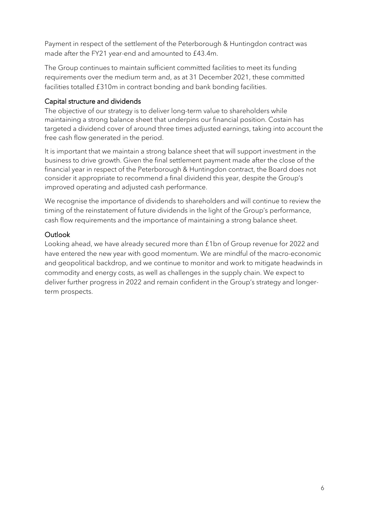Payment in respect of the settlement of the Peterborough & Huntingdon contract was made after the FY21 year-end and amounted to £43.4m.

The Group continues to maintain sufficient committed facilities to meet its funding requirements over the medium term and, as at 31 December 2021, these committed facilities totalled £310m in contract bonding and bank bonding facilities.

### Capital structure and dividends

The objective of our strategy is to deliver long-term value to shareholders while maintaining a strong balance sheet that underpins our financial position. Costain has targeted a dividend cover of around three times adjusted earnings, taking into account the free cash flow generated in the period.

It is important that we maintain a strong balance sheet that will support investment in the business to drive growth. Given the final settlement payment made after the close of the financial year in respect of the Peterborough & Huntingdon contract, the Board does not consider it appropriate to recommend a final dividend this year, despite the Group's improved operating and adjusted cash performance.

We recognise the importance of dividends to shareholders and will continue to review the timing of the reinstatement of future dividends in the light of the Group's performance, cash flow requirements and the importance of maintaining a strong balance sheet.

## **Outlook**

Looking ahead, we have already secured more than £1bn of Group revenue for 2022 and have entered the new year with good momentum. We are mindful of the macro-economic and geopolitical backdrop, and we continue to monitor and work to mitigate headwinds in commodity and energy costs, as well as challenges in the supply chain. We expect to deliver further progress in 2022 and remain confident in the Group's strategy and longerterm prospects.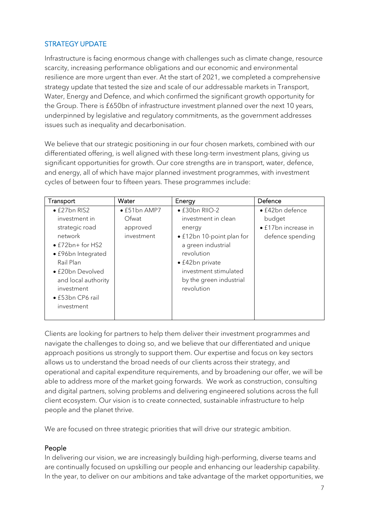## STRATEGY UPDATE

Infrastructure is facing enormous change with challenges such as climate change, resource scarcity, increasing performance obligations and our economic and environmental resilience are more urgent than ever. At the start of 2021, we completed a comprehensive strategy update that tested the size and scale of our addressable markets in Transport, Water, Energy and Defence, and which confirmed the significant growth opportunity for the Group. There is £650bn of infrastructure investment planned over the next 10 years, underpinned by legislative and regulatory commitments, as the government addresses issues such as inequality and decarbonisation.

We believe that our strategic positioning in our four chosen markets, combined with our differentiated offering, is well aligned with these long-term investment plans, giving us significant opportunities for growth. Our core strengths are in transport, water, defence, and energy, all of which have major planned investment programmes, with investment cycles of between four to fifteen years. These programmes include:

| Transport                | Water                | Energy                    | Defence                     |
|--------------------------|----------------------|---------------------------|-----------------------------|
| $\bullet$ £27bn RIS2     | $\bullet$ £51bn AMP7 | · £30bn RIIO-2            | • £42bn defence             |
| investment in            | Ofwat                | investment in clean       | budget                      |
| strategic road           | approved             | energy                    | $\bullet$ £17bn increase in |
| network                  | investment           | • £12bn 10-point plan for | defence spending            |
| $\bullet$ £72bn+ for HS2 |                      | a green industrial        |                             |
| • £96bn Integrated       |                      | revolution                |                             |
| Rail Plan                |                      | $\bullet$ £42bn private   |                             |
| • £20bn Devolved         |                      | investment stimulated     |                             |
| and local authority      |                      | by the green industrial   |                             |
| investment               |                      | revolution                |                             |
| • £53bn CP6 rail         |                      |                           |                             |
| investment               |                      |                           |                             |
|                          |                      |                           |                             |

Clients are looking for partners to help them deliver their investment programmes and navigate the challenges to doing so, and we believe that our differentiated and unique approach positions us strongly to support them. Our expertise and focus on key sectors allows us to understand the broad needs of our clients across their strategy, and operational and capital expenditure requirements, and by broadening our offer, we will be able to address more of the market going forwards. We work as construction, consulting and digital partners, solving problems and delivering engineered solutions across the full client ecosystem. Our vision is to create connected, sustainable infrastructure to help people and the planet thrive.

We are focused on three strategic priorities that will drive our strategic ambition.

### People

In delivering our vision, we are increasingly building high-performing, diverse teams and are continually focused on upskilling our people and enhancing our leadership capability. In the year, to deliver on our ambitions and take advantage of the market opportunities, we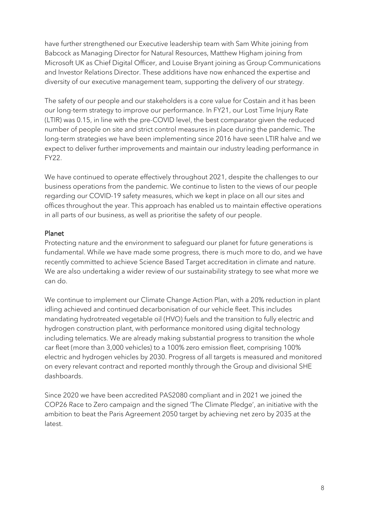have further strengthened our Executive leadership team with Sam White joining from Babcock as Managing Director for Natural Resources, Matthew Higham joining from Microsoft UK as Chief Digital Officer, and Louise Bryant joining as Group Communications and Investor Relations Director. These additions have now enhanced the expertise and diversity of our executive management team, supporting the delivery of our strategy.

The safety of our people and our stakeholders is a core value for Costain and it has been our long-term strategy to improve our performance. In FY21, our Lost Time Injury Rate (LTIR) was 0.15, in line with the pre-COVID level, the best comparator given the reduced number of people on site and strict control measures in place during the pandemic. The long-term strategies we have been implementing since 2016 have seen LTIR halve and we expect to deliver further improvements and maintain our industry leading performance in FY22.

We have continued to operate effectively throughout 2021, despite the challenges to our business operations from the pandemic. We continue to listen to the views of our people regarding our COVID-19 safety measures, which we kept in place on all our sites and offices throughout the year. This approach has enabled us to maintain effective operations in all parts of our business, as well as prioritise the safety of our people.

### Planet

Protecting nature and the environment to safeguard our planet for future generations is fundamental. While we have made some progress, there is much more to do, and we have recently committed to achieve Science Based Target accreditation in climate and nature. We are also undertaking a wider review of our sustainability strategy to see what more we can do.

We continue to implement our Climate Change Action Plan, with a 20% reduction in plant idling achieved and continued decarbonisation of our vehicle fleet. This includes mandating hydrotreated vegetable oil (HVO) fuels and the transition to fully electric and hydrogen construction plant, with performance monitored using digital technology including telematics. We are already making substantial progress to transition the whole car fleet (more than 3,000 vehicles) to a 100% zero emission fleet, comprising 100% electric and hydrogen vehicles by 2030. Progress of all targets is measured and monitored on every relevant contract and reported monthly through the Group and divisional SHE dashboards.

Since 2020 we have been accredited PAS2080 compliant and in 2021 we joined the COP26 Race to Zero campaign and the signed ['The Climate Pledge'](https://www.theclimatepledge.com/), an initiative with the ambition to beat the Paris Agreement 2050 target by achieving net zero by 2035 at the latest.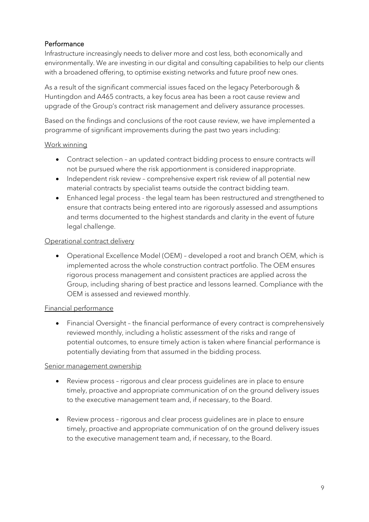## Performance

Infrastructure increasingly needs to deliver more and cost less, both economically and environmentally. We are investing in our digital and consulting capabilities to help our clients with a broadened offering, to optimise existing networks and future proof new ones.

As a result of the significant commercial issues faced on the legacy Peterborough & Huntingdon and A465 contracts, a key focus area has been a root cause review and upgrade of the Group's contract risk management and delivery assurance processes.

Based on the findings and conclusions of the root cause review, we have implemented a programme of significant improvements during the past two years including:

### Work winning

- Contract selection an updated contract bidding process to ensure contracts will not be pursued where the risk apportionment is considered inappropriate.
- Independent risk review comprehensive expert risk review of all potential new material contracts by specialist teams outside the contract bidding team.
- Enhanced legal process the legal team has been restructured and strengthened to ensure that contracts being entered into are rigorously assessed and assumptions and terms documented to the highest standards and clarity in the event of future legal challenge.

### Operational contract delivery

• Operational Excellence Model (OEM) – developed a root and branch OEM, which is implemented across the whole construction contract portfolio. The OEM ensures rigorous process management and consistent practices are applied across the Group, including sharing of best practice and lessons learned. Compliance with the OEM is assessed and reviewed monthly.

### Financial performance

• Financial Oversight – the financial performance of every contract is comprehensively reviewed monthly, including a holistic assessment of the risks and range of potential outcomes, to ensure timely action is taken where financial performance is potentially deviating from that assumed in the bidding process.

### Senior management ownership

- Review process rigorous and clear process quidelines are in place to ensure timely, proactive and appropriate communication of on the ground delivery issues to the executive management team and, if necessary, to the Board.
- Review process rigorous and clear process guidelines are in place to ensure timely, proactive and appropriate communication of on the ground delivery issues to the executive management team and, if necessary, to the Board.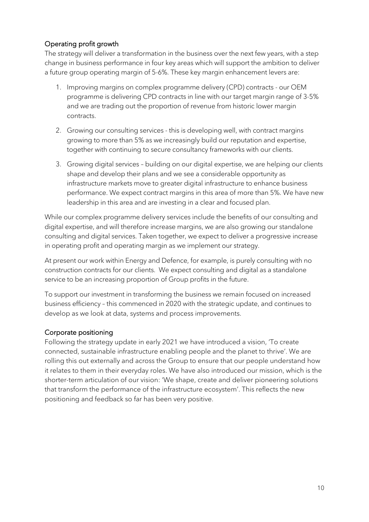## Operating profit growth

The strategy will deliver a transformation in the business over the next few years, with a step change in business performance in four key areas which will support the ambition to deliver a future group operating margin of 5-6%. These key margin enhancement levers are:

- 1. Improving margins on complex programme delivery (CPD) contracts our OEM programme is delivering CPD contracts in line with our target margin range of 3-5% and we are trading out the proportion of revenue from historic lower margin contracts.
- 2. Growing our consulting services this is developing well, with contract margins growing to more than 5% as we increasingly build our reputation and expertise, together with continuing to secure consultancy frameworks with our clients.
- 3. Growing digital services building on our digital expertise, we are helping our clients shape and develop their plans and we see a considerable opportunity as infrastructure markets move to greater digital infrastructure to enhance business performance. We expect contract margins in this area of more than 5%. We have new leadership in this area and are investing in a clear and focused plan.

While our complex programme delivery services include the benefits of our consulting and digital expertise, and will therefore increase margins, we are also growing our standalone consulting and digital services. Taken together, we expect to deliver a progressive increase in operating profit and operating margin as we implement our strategy.

At present our work within Energy and Defence, for example, is purely consulting with no construction contracts for our clients. We expect consulting and digital as a standalone service to be an increasing proportion of Group profits in the future.

To support our investment in transforming the business we remain focused on increased business efficiency – this commenced in 2020 with the strategic update, and continues to develop as we look at data, systems and process improvements.

## Corporate positioning

Following the strategy update in early 2021 we have introduced a vision, 'To create connected, sustainable infrastructure enabling people and the planet to thrive'. We are rolling this out externally and across the Group to ensure that our people understand how it relates to them in their everyday roles. We have also introduced our mission, which is the shorter-term articulation of our vision: 'We shape, create and deliver pioneering solutions that transform the performance of the infrastructure ecosystem'. This reflects the new positioning and feedback so far has been very positive.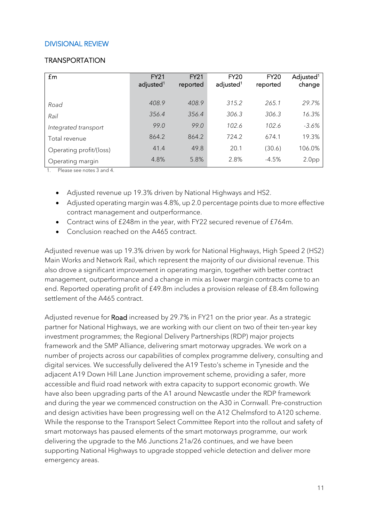### DIVISIONAL REVIEW

#### **TRANSPORTATION**

| £m                      | <b>FY21</b><br>adjusted <sup>1</sup> | <b>FY21</b><br>reported | <b>FY20</b><br>adjusted <sup>1</sup> | <b>FY20</b><br>reported | Adjusted <sup>1</sup><br>change |
|-------------------------|--------------------------------------|-------------------------|--------------------------------------|-------------------------|---------------------------------|
| Road                    | 408.9                                | 408.9                   | 315.2                                | 265.1                   | 29.7%                           |
| Rail                    | 356.4                                | 356.4                   | 306.3                                | 306.3                   | 16.3%                           |
| Integrated transport    | 99.0                                 | 99.0                    | 102.6                                | 102.6                   | $-3.6%$                         |
| Total revenue           | 864.2                                | 864.2                   | 724.2                                | 674.1                   | 19.3%                           |
| Operating profit/(loss) | 41.4                                 | 49.8                    | 20.1                                 | (30.6)                  | 106.0%                          |
| Operating margin        | 4.8%                                 | 5.8%                    | 2.8%                                 | $-4.5%$                 | 2.0 <sub>pp</sub>               |

1. Please see notes 3 and 4.

- Adjusted revenue up 19.3% driven by National Highways and HS2.
- Adjusted operating margin was 4.8%, up 2.0 percentage points due to more effective contract management and outperformance.
- Contract wins of £248m in the year, with FY22 secured revenue of £764m.
- Conclusion reached on the A465 contract.

Adjusted revenue was up 19.3% driven by work for National Highways, High Speed 2 (HS2) Main Works and Network Rail, which represent the majority of our divisional revenue. This also drove a significant improvement in operating margin, together with better contract management, outperformance and a change in mix as lower margin contracts come to an end. Reported operating profit of £49.8m includes a provision release of £8.4m following settlement of the A465 contract.

Adjusted revenue for Road increased by 29.7% in FY21 on the prior year. As a strategic partner for National Highways, we are working with our client on two of their ten-year key investment programmes; the Regional Delivery Partnerships (RDP) major projects framework and the SMP Alliance, delivering smart motorway upgrades. We work on a number of projects across our capabilities of complex programme delivery, consulting and digital services. We successfully delivered the A19 Testo's scheme in Tyneside and the adjacent A19 Down Hill Lane Junction improvement scheme, providing a safer, more accessible and fluid road network with extra capacity to support economic growth. We have also been upgrading parts of the A1 around Newcastle under the RDP framework and during the year we commenced construction on the A30 in Cornwall. Pre-construction and design activities have been progressing well on the A12 Chelmsford to A120 scheme. While the response to the Transport Select Committee Report into the rollout and safety of smart motorways has paused elements of the smart motorways programme, our work delivering the upgrade to the M6 Junctions 21a/26 continues, and we have been supporting National Highways to upgrade stopped vehicle detection and deliver more emergency areas.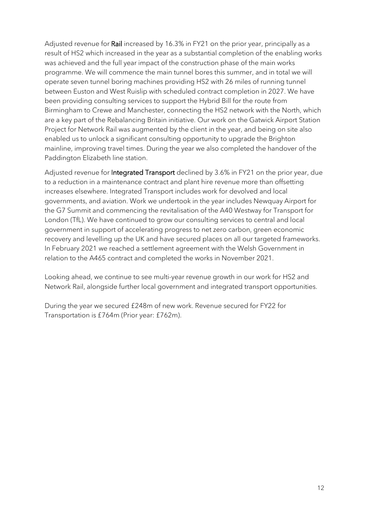Adjusted revenue for Rail increased by 16.3% in FY21 on the prior year, principally as a result of HS2 which increased in the year as a substantial completion of the enabling works was achieved and the full year impact of the construction phase of the main works programme. We will commence the main tunnel bores this summer, and in total we will operate seven tunnel boring machines providing HS2 with 26 miles of running tunnel between Euston and West Ruislip with scheduled contract completion in 2027. We have been providing consulting services to support the Hybrid Bill for the route from Birmingham to Crewe and Manchester, connecting the HS2 network with the North, which are a key part of the Rebalancing Britain initiative. Our work on the Gatwick Airport Station Project for Network Rail was augmented by the client in the year, and being on site also enabled us to unlock a significant consulting opportunity to upgrade the Brighton mainline, improving travel times. During the year we also completed the handover of the Paddington Elizabeth line station.

Adjusted revenue for **Integrated Transport** declined by 3.6% in FY21 on the prior year, due to a reduction in a maintenance contract and plant hire revenue more than offsetting increases elsewhere. Integrated Transport includes work for devolved and local governments, and aviation. Work we undertook in the year includes Newquay Airport for the G7 Summit and commencing the revitalisation of the A40 Westway for Transport for London (TfL). We have continued to grow our consulting services to central and local government in support of accelerating progress to net zero carbon, green economic recovery and levelling up the UK and have secured places on all our targeted frameworks. In February 2021 we reached a settlement agreement with the Welsh Government in relation to the A465 contract and completed the works in November 2021.

Looking ahead, we continue to see multi-year revenue growth in our work for HS2 and Network Rail, alongside further local government and integrated transport opportunities.

During the year we secured £248m of new work. Revenue secured for FY22 for Transportation is £764m (Prior year: £762m).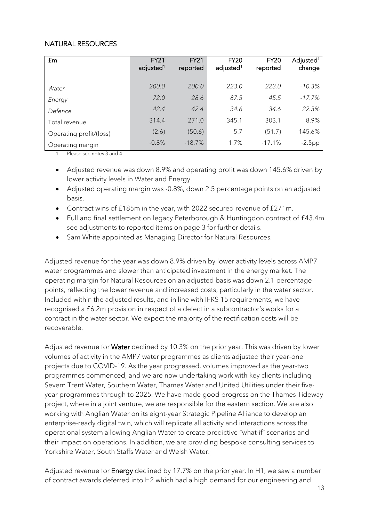### NATURAL RESOURCES

| £m                      | <b>FY21</b><br>adjusted <sup>1</sup> | <b>FY21</b><br>reported | <b>FY20</b><br>adjusted <sup>1</sup> | <b>FY20</b><br>reported | Adjusted <sup>1</sup><br>change |
|-------------------------|--------------------------------------|-------------------------|--------------------------------------|-------------------------|---------------------------------|
| Water                   | 200.0                                | 200.0                   | 223.0                                | 223.0                   | $-10.3%$                        |
| Energy                  | 72.0                                 | 28.6                    | 87.5                                 | 45.5                    | $-17.7\%$                       |
| Defence                 | 42.4                                 | 42.4                    | 34.6                                 | 34.6                    | 22.3%                           |
| Total revenue           | 314.4                                | 271.0                   | 345.1                                | 303.1                   | $-8.9%$                         |
| Operating profit/(loss) | (2.6)                                | (50.6)                  | 5.7                                  | (51.7)                  | $-145.6%$                       |
| Operating margin        | $-0.8%$                              | $-18.7%$                | 1.7%                                 | $-17.1%$                | $-2.5pp$                        |

1. Please see notes 3 and 4.

- Adjusted revenue was down 8.9% and operating profit was down 145.6% driven by lower activity levels in Water and Energy.
- Adjusted operating margin was -0.8%, down 2.5 percentage points on an adjusted basis.
- Contract wins of £185m in the year, with 2022 secured revenue of £271m.
- Full and final settlement on legacy Peterborough & Huntingdon contract of £43.4m see adjustments to reported items on page 3 for further details.
- Sam White appointed as Managing Director for Natural Resources.

Adjusted revenue for the year was down 8.9% driven by lower activity levels across AMP7 water programmes and slower than anticipated investment in the energy market. The operating margin for Natural Resources on an adjusted basis was down 2.1 percentage points, reflecting the lower revenue and increased costs, particularly in the water sector. Included within the adjusted results, and in line with IFRS 15 requirements, we have recognised a £6.2m provision in respect of a defect in a subcontractor's works for a contract in the water sector. We expect the majority of the rectification costs will be recoverable.

Adjusted revenue for Water declined by 10.3% on the prior year. This was driven by lower volumes of activity in the AMP7 water programmes as clients adjusted their year-one projects due to COVID-19. As the year progressed, volumes improved as the year-two programmes commenced, and we are now undertaking work with key clients including Severn Trent Water, Southern Water, Thames Water and United Utilities under their fiveyear programmes through to 2025. We have made good progress on the Thames Tideway project, where in a joint venture, we are responsible for the eastern section. We are also working with Anglian Water on its eight-year Strategic Pipeline Alliance to develop an enterprise-ready digital twin, which will replicate all activity and interactions across the operational system allowing Anglian Water to create predictive "what-if" scenarios and their impact on operations. In addition, we are providing bespoke consulting services to Yorkshire Water, South Staffs Water and Welsh Water.

Adjusted revenue for Energy declined by 17.7% on the prior year. In H1, we saw a number of contract awards deferred into H2 which had a high demand for our engineering and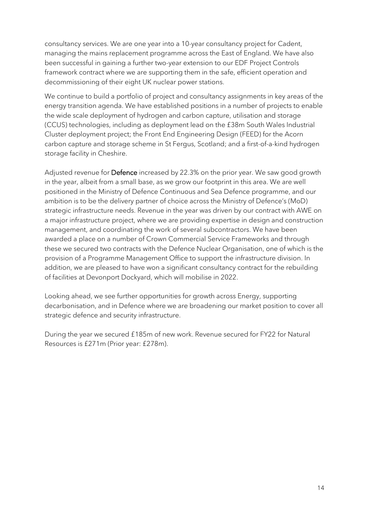consultancy services. We are one year into a 10-year consultancy project for Cadent, managing the mains replacement programme across the East of England. We have also been successful in gaining a further two-year extension to our EDF Project Controls framework contract where we are supporting them in the safe, efficient operation and decommissioning of their eight UK nuclear power stations.

We continue to build a portfolio of project and consultancy assignments in key areas of the energy transition agenda. We have established positions in a number of projects to enable the wide scale deployment of hydrogen and carbon capture, utilisation and storage (CCUS) technologies, including as deployment lead on the £38m South Wales Industrial Cluster deployment project; the Front End Engineering Design (FEED) for the Acorn carbon capture and storage scheme in St Fergus, Scotland; and a first-of-a-kind hydrogen storage facility in Cheshire.

Adjusted revenue for Defence increased by 22.3% on the prior year. We saw good growth in the year, albeit from a small base, as we grow our footprint in this area. We are well positioned in the Ministry of Defence Continuous and Sea Defence programme, and our ambition is to be the delivery partner of choice across the Ministry of Defence's (MoD) strategic infrastructure needs. Revenue in the year was driven by our contract with AWE on a major infrastructure project, where we are providing expertise in design and construction management, and coordinating the work of several subcontractors. We have been awarded a place on a number of Crown Commercial Service Frameworks and through these we secured two contracts with the Defence Nuclear Organisation, one of which is the provision of a Programme Management Office to support the infrastructure division. In addition, we are pleased to have won a significant consultancy contract for the rebuilding of facilities at Devonport Dockyard, which will mobilise in 2022.

Looking ahead, we see further opportunities for growth across Energy, supporting decarbonisation, and in Defence where we are broadening our market position to cover all strategic defence and security infrastructure.

During the year we secured £185m of new work. Revenue secured for FY22 for Natural Resources is £271m (Prior year: £278m).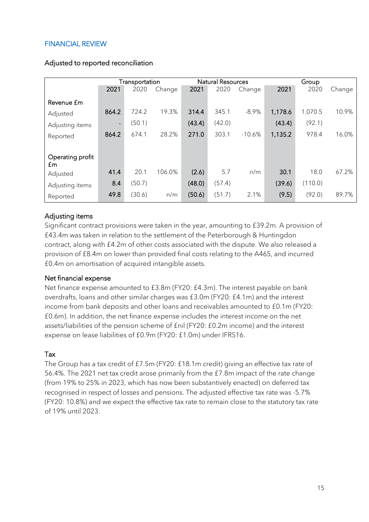## FINANCIAL REVIEW

|                  |       | Transportation |        |        | <b>Natural Resources</b> |          |         | Group   |        |
|------------------|-------|----------------|--------|--------|--------------------------|----------|---------|---------|--------|
|                  | 2021  | 2020           | Change | 2021   | 2020                     | Change   | 2021    | 2020    | Change |
| Revenue fm       |       |                |        |        |                          |          |         |         |        |
| Adjusted         | 864.2 | 724.2          | 19.3%  | 314.4  | 345.1                    | $-8.9%$  | 1,178.6 | 1.070.5 | 10.9%  |
| Adjusting items  |       | (50.1)         |        | (43.4) | (42.0)                   |          | (43.4)  | (92.1)  |        |
| Reported         | 864.2 | 674.1          | 28.2%  | 271.0  | 303.1                    | $-10.6%$ | 1,135.2 | 978.4   | 16.0%  |
|                  |       |                |        |        |                          |          |         |         |        |
| Operating profit |       |                |        |        |                          |          |         |         |        |
| $\mathsf{fm}$    |       | 20.1           | 106.0% |        |                          |          |         |         |        |
| Adjusted         | 41.4  |                |        | (2.6)  | 5.7                      | n/m      | 30.1    | 18.0    | 67.2%  |
| Adjusting items  | 8.4   | (50.7)         |        | (48.0) | (57.4)                   |          | (39.6)  | (110.0) |        |
| Reported         | 49.8  | (30.6)         | n/m    | (50.6) | (51.7)                   | 2.1%     | (9.5)   | (92.0)  | 89.7%  |

#### Adjusted to reported reconciliation

### Adjusting items

Significant contract provisions were taken in the year, amounting to £39.2m. A provision of £43.4m was taken in relation to the settlement of the Peterborough & Huntingdon contract, along with £4.2m of other costs associated with the dispute. We also released a provision of £8.4m on lower than provided final costs relating to the A465, and incurred £0.4m on amortisation of acquired intangible assets.

### Net financial expense

Net finance expense amounted to £3.8m (FY20: £4.3m). The interest payable on bank overdrafts, loans and other similar charges was £3.0m (FY20: £4.1m) and the interest income from bank deposits and other loans and receivables amounted to £0.1m (FY20: £0.6m). In addition, the net finance expense includes the interest income on the net assets/liabilities of the pension scheme of £nil (FY20: £0.2m income) and the interest expense on lease liabilities of £0.9m (FY20: £1.0m) under IFRS16.

### Tax

The Group has a tax credit of £7.5m (FY20: £18.1m credit) giving an effective tax rate of 56.4%. The 2021 net tax credit arose primarily from the £7.8m impact of the rate change (from 19% to 25% in 2023, which has now been substantively enacted) on deferred tax recognised in respect of losses and pensions. The adjusted effective tax rate was -5.7% (FY20: 10.8%) and we expect the effective tax rate to remain close to the statutory tax rate of 19% until 2023.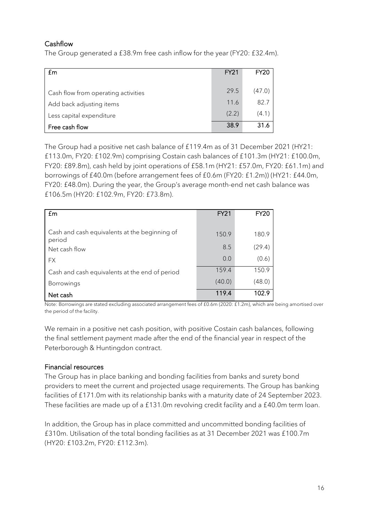## Cashflow

The Group generated a £38.9m free cash inflow for the year (FY20: £32.4m).

| £m                                  | <b>FY21</b> | <b>FY20</b> |
|-------------------------------------|-------------|-------------|
|                                     | 29.5        | (47.0)      |
| Cash flow from operating activities |             |             |
| Add back adjusting items            | 11.6        | 82.7        |
| Less capital expenditure            | (2.2)       | (4.1)       |
| Free cash flow                      | 38.9        | 31.6        |

The Group had a positive net cash balance of £119.4m as of 31 December 2021 (HY21: £113.0m, FY20: £102.9m) comprising Costain cash balances of £101.3m (HY21: £100.0m, FY20: £89.8m), cash held by joint operations of £58.1m (HY21: £57.0m, FY20: £61.1m) and borrowings of £40.0m (before arrangement fees of £0.6m (FY20: £1.2m)) (HY21: £44.0m, FY20: £48.0m). During the year, the Group's average month-end net cash balance was £106.5m (HY20: £102.9m, FY20: £73.8m).

| £m                                                      | <b>FY21</b> | FY20   |
|---------------------------------------------------------|-------------|--------|
| Cash and cash equivalents at the beginning of<br>period | 150.9       | 180.9  |
| Net cash flow                                           | 8.5         | (29.4) |
| <b>FX</b>                                               | 0.0         | (0.6)  |
| Cash and cash equivalents at the end of period          | 159.4       | 150.9  |
| <b>Borrowings</b>                                       | (40.0)      | (48.0) |
| Net cash                                                | 119.4       | 102.9  |

Note: Borrowings are stated excluding associated arrangement fees of £0.6m (2020: £1.2m), which are being amortised over the period of the facility.

We remain in a positive net cash position, with positive Costain cash balances, following the final settlement payment made after the end of the financial year in respect of the Peterborough & Huntingdon contract.

## Financial resources

The Group has in place banking and bonding facilities from banks and surety bond providers to meet the current and projected usage requirements. The Group has banking facilities of £171.0m with its relationship banks with a maturity date of 24 September 2023. These facilities are made up of a £131.0m revolving credit facility and a £40.0m term loan.

In addition, the Group has in place committed and uncommitted bonding facilities of £310m. Utilisation of the total bonding facilities as at 31 December 2021 was £100.7m (HY20: £103.2m, FY20: £112.3m).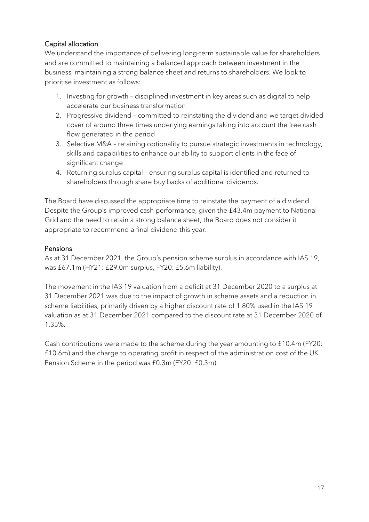## Capital allocation

We understand the importance of delivering long-term sustainable value for shareholders and are committed to maintaining a balanced approach between investment in the business, maintaining a strong balance sheet and returns to shareholders. We look to prioritise investment as follows:

- 1. Investing for growth disciplined investment in key areas such as digital to help accelerate our business transformation
- 2. Progressive dividend committed to reinstating the dividend and we target divided cover of around three times underlying earnings taking into account the free cash flow generated in the period
- 3. Selective M&A retaining optionality to pursue strategic investments in technology, skills and capabilities to enhance our ability to support clients in the face of significant change
- 4. Returning surplus capital ensuring surplus capital is identified and returned to shareholders through share buy backs of additional dividends.

The Board have discussed the appropriate time to reinstate the payment of a dividend. Despite the Group's improved cash performance, given the £43.4m payment to National Grid and the need to retain a strong balance sheet, the Board does not consider it appropriate to recommend a final dividend this year.

## Pensions

As at 31 December 2021, the Group's pension scheme surplus in accordance with IAS 19, was £67.1m (HY21: £29.0m surplus, FY20: £5.6m liability).

The movement in the IAS 19 valuation from a deficit at 31 December 2020 to a surplus at 31 December 2021 was due to the impact of growth in scheme assets and a reduction in scheme liabilities, primarily driven by a higher discount rate of 1.80% used in the IAS 19 valuation as at 31 December 2021 compared to the discount rate at 31 December 2020 of 1.35%.

Cash contributions were made to the scheme during the year amounting to £10.4m (FY20: £10.6m) and the charge to operating profit in respect of the administration cost of the UK Pension Scheme in the period was £0.3m (FY20: £0.3m).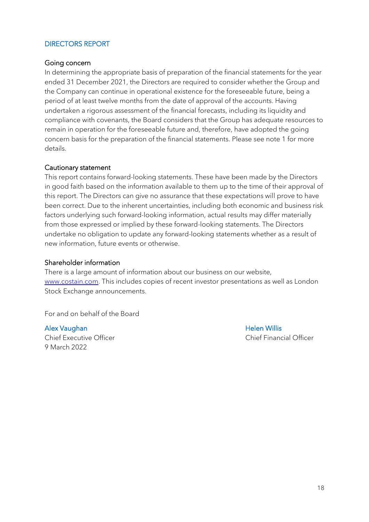### DIRECTORS REPORT

#### Going concern

In determining the appropriate basis of preparation of the financial statements for the year ended 31 December 2021, the Directors are required to consider whether the Group and the Company can continue in operational existence for the foreseeable future, being a period of at least twelve months from the date of approval of the accounts. Having undertaken a rigorous assessment of the financial forecasts, including its liquidity and compliance with covenants, the Board considers that the Group has adequate resources to remain in operation for the foreseeable future and, therefore, have adopted the going concern basis for the preparation of the financial statements. Please see note 1 for more details.

#### Cautionary statement

This report contains forward-looking statements. These have been made by the Directors in good faith based on the information available to them up to the time of their approval of this report. The Directors can give no assurance that these expectations will prove to have been correct. Due to the inherent uncertainties, including both economic and business risk factors underlying such forward-looking information, actual results may differ materially from those expressed or implied by these forward-looking statements. The Directors undertake no obligation to update any forward-looking statements whether as a result of new information, future events or otherwise.

#### Shareholder information

There is a large amount of information about our business on our website, [www.costain.com.](http://www.costain.com/) This includes copies of recent investor presentations as well as London Stock Exchange announcements.

For and on behalf of the Board

#### Alex Vaughan Nillis and Alex Vaughan Helen Willis

Chief Executive Officer Chief Financial Officer 9 March 2022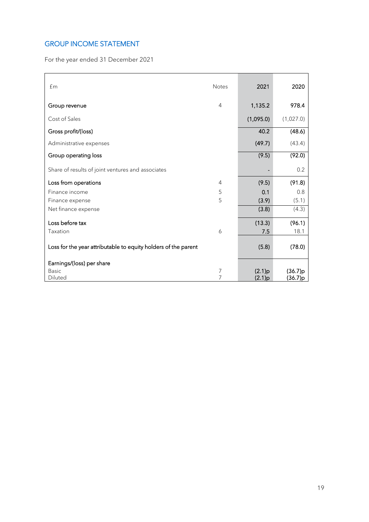## GROUP INCOME STATEMENT

For the year ended 31 December 2021

| f <sub>m</sub>                                                 | <b>Notes</b> | 2021      | 2020      |
|----------------------------------------------------------------|--------------|-----------|-----------|
| Group revenue                                                  | 4            | 1,135.2   | 978.4     |
| Cost of Sales                                                  |              | (1,095.0) | (1,027.0) |
| Gross profit/(loss)                                            |              | 40.2      | (48.6)    |
| Administrative expenses                                        |              | (49.7)    | (43.4)    |
| Group operating loss                                           |              | (9.5)     | (92.0)    |
| Share of results of joint ventures and associates              |              |           | 0.2       |
| Loss from operations                                           | 4            | (9.5)     | (91.8)    |
| Finance income                                                 | 5            | 0.1       | 0.8       |
| Finance expense                                                | 5            | (3.9)     | (5.1)     |
| Net finance expense                                            |              | (3.8)     | (4.3)     |
| Loss before tax                                                |              | (13.3)    | (96.1)    |
| Taxation                                                       | 6            | 7.5       | 18.1      |
| Loss for the year attributable to equity holders of the parent |              | (5.8)     | (78.0)    |
| Earnings/(loss) per share                                      |              |           |           |
| <b>Basic</b>                                                   | 7            | (2.1)p    | (36.7)p   |
| Diluted                                                        | 7            | (2.1)p    | (36.7)p   |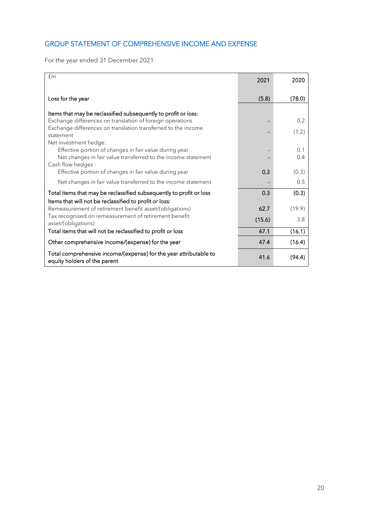## GROUP STATEMENT OF COMPREHENSIVE INCOME AND EXPENSE

For the year ended 31 December 2021

| £m                                                                                                                                                                                           | 2021   | 2020       |
|----------------------------------------------------------------------------------------------------------------------------------------------------------------------------------------------|--------|------------|
| Loss for the year                                                                                                                                                                            | (5.8)  | (78.0)     |
| Items that may be reclassified subsequently to profit or loss:<br>Exchange differences on translation of foreign operations<br>Exchange differences on translation transferred to the income |        | 0.2        |
| statement<br>Net investment hedge:                                                                                                                                                           |        | (1.2)      |
| Effective portion of changes in fair value during year<br>Net changes in fair value transferred to the income statement<br>Cash flow hedges:                                                 |        | 0.1<br>0.4 |
| Effective portion of changes in fair value during year                                                                                                                                       | 0.3    | (0.3)      |
| Net changes in fair value transferred to the income statement                                                                                                                                |        | 0.5        |
| Total items that may be reclassified subsequently to profit or loss<br>Items that will not be reclassified to profit or loss:                                                                | 0.3    | (0.3)      |
| Remeasurement of retirement benefit asset/(obligations)                                                                                                                                      | 62.7   | (19.9)     |
| Tax recognised on remeasurement of retirement benefit<br>asset/(obligations)                                                                                                                 | (15.6) | 3.8        |
| Total items that will not be reclassified to profit or loss                                                                                                                                  | 47.1   | (16.1)     |
| Other comprehensive income/(expense) for the year                                                                                                                                            | 47.4   | (16.4)     |
| Total comprehensive income/(expense) for the year attributable to<br>equity holders of the parent                                                                                            | 41.6   | (94.4)     |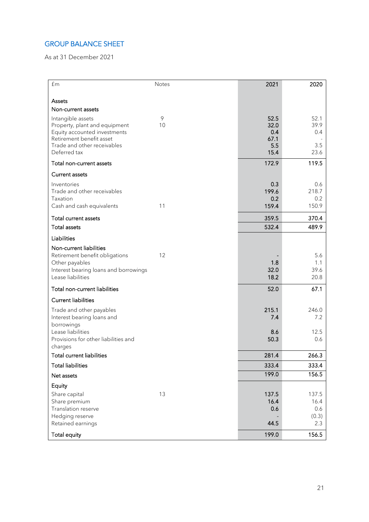## GROUP BALANCE SHEET

As at 31 December 2021

| £m                                                            | <b>Notes</b> | 2021         | 2020         |
|---------------------------------------------------------------|--------------|--------------|--------------|
|                                                               |              |              |              |
| Assets                                                        |              |              |              |
| Non-current assets                                            |              |              |              |
| Intangible assets                                             | 9            | 52.5         | 52.1         |
| Property, plant and equipment<br>Equity accounted investments | 10           | 32.0<br>0.4  | 39.9<br>0.4  |
| Retirement benefit asset                                      |              | 67.1         |              |
| Trade and other receivables                                   |              | 5.5          | 3.5          |
| Deferred tax                                                  |              | 15.4         | 23.6         |
| Total non-current assets                                      |              | 172.9        | 119.5        |
| <b>Current assets</b>                                         |              |              |              |
| Inventories                                                   |              | 0.3          | 0.6          |
| Trade and other receivables                                   |              | 199.6        | 218.7        |
| Taxation<br>Cash and cash equivalents                         | 11           | 0.2<br>159.4 | 0.2<br>150.9 |
|                                                               |              |              |              |
| <b>Total current assets</b>                                   |              | 359.5        | 370.4        |
| <b>Total assets</b>                                           |              | 532.4        | 489.9        |
| Liabilities                                                   |              |              |              |
| Non-current liabilities                                       |              |              |              |
| Retirement benefit obligations                                | 12           |              | 5.6          |
| Other payables                                                |              | 1.8<br>32.0  | 1.1<br>39.6  |
| Interest bearing loans and borrowings<br>Lease liabilities    |              | 18.2         | 20.8         |
| Total non-current liabilities                                 |              | 52.0         | 67.1         |
| <b>Current liabilities</b>                                    |              |              |              |
| Trade and other payables                                      |              | 215.1        | 246.0        |
| Interest bearing loans and                                    |              | 7.4          | 7.2          |
| borrowings                                                    |              |              |              |
| Lease liabilities                                             |              | 8.6          | 12.5         |
| Provisions for other liabilities and<br>charges               |              | 50.3         | 0.6          |
| Total current liabilities                                     |              | 281.4        | 266.3        |
| <b>Total liabilities</b>                                      |              | 333.4        | 333.4        |
| Net assets                                                    |              | 199.0        | 156.5        |
| Equity                                                        |              |              |              |
| Share capital                                                 | 13           | 137.5        | 137.5        |
| Share premium                                                 |              | 16.4         | 16.4         |
| Translation reserve                                           |              | 0.6          | 0.6          |
| Hedging reserve                                               |              | 44.5         | (0.3)        |
| Retained earnings                                             |              |              | 2.3          |
| <b>Total equity</b>                                           |              | 199.0        | 156.5        |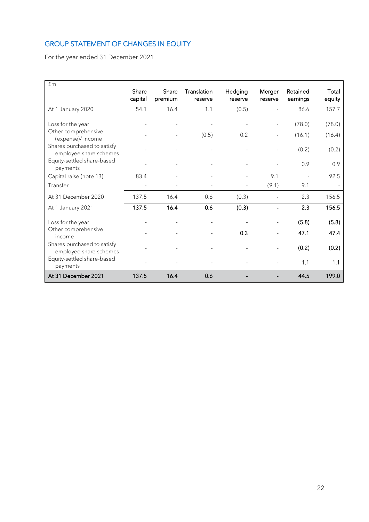## GROUP STATEMENT OF CHANGES IN EQUITY

For the year ended 31 December 2021

| £m                                                    |                  |                  |                        |                    |                   |                      |                 |
|-------------------------------------------------------|------------------|------------------|------------------------|--------------------|-------------------|----------------------|-----------------|
|                                                       | Share<br>capital | Share<br>premium | Translation<br>reserve | Hedging<br>reserve | Merger<br>reserve | Retained<br>earnings | Total<br>equity |
| At 1 January 2020                                     | 54.1             | 16.4             | 1.1                    | (0.5)              |                   | 86.6                 | 157.7           |
| Loss for the year                                     |                  |                  |                        |                    |                   | (78.0)               | (78.0)          |
| Other comprehensive<br>(expense)/ income              |                  |                  | (0.5)                  | 0.2                |                   | (16.1)               | (16.4)          |
| Shares purchased to satisfy<br>employee share schemes |                  |                  |                        |                    |                   | (0.2)                | (0.2)           |
| Equity-settled share-based<br>payments                |                  |                  |                        |                    |                   | 0.9                  | 0.9             |
| Capital raise (note 13)                               | 83.4             |                  |                        |                    | 9.1               |                      | 92.5            |
| Transfer                                              |                  |                  |                        |                    | (9.1)             | 9.1                  |                 |
| At 31 December 2020                                   | 137.5            | 16.4             | 0.6                    | (0.3)              |                   | 2.3                  | 156.5           |
| At 1 January 2021                                     | 137.5            | 16.4             | 0.6                    | (0.3)              |                   | 2.3                  | 156.5           |
| Loss for the year                                     |                  |                  |                        |                    |                   | (5.8)                | (5.8)           |
| Other comprehensive<br>income                         |                  |                  |                        | 0.3                |                   | 47.1                 | 47.4            |
| Shares purchased to satisfy<br>employee share schemes |                  |                  |                        |                    |                   | (0.2)                | (0.2)           |
| Equity-settled share-based<br>payments                |                  |                  |                        |                    |                   | 1.1                  | 1.1             |
| At 31 December 2021                                   | 137.5            | 16.4             | 0.6                    |                    |                   | 44.5                 | 199.0           |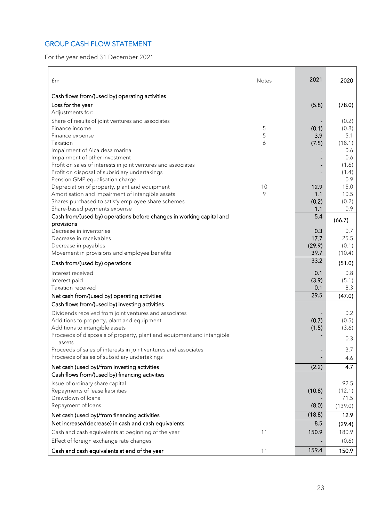## GROUP CASH FLOW STATEMENT

For the year ended 31 December 2021

| £m                                                                                                             | Notes | 2021           | 2020           |
|----------------------------------------------------------------------------------------------------------------|-------|----------------|----------------|
| Cash flows from/(used by) operating activities                                                                 |       |                |                |
| Loss for the year                                                                                              |       | (5.8)          | (78.0)         |
| Adjustments for:                                                                                               |       |                |                |
| Share of results of joint ventures and associates                                                              |       |                | (0.2)          |
| Finance income                                                                                                 | 5     | (0.1)          | (0.8)          |
| Finance expense                                                                                                | 5     | 3.9            | 5.1            |
| Taxation                                                                                                       | 6     | (7.5)          | (18.1)         |
| Impairment of Alcaidesa marina                                                                                 |       |                | 0.6            |
| Impairment of other investment                                                                                 |       |                | 0.6            |
| Profit on sales of interests in joint ventures and associates<br>Profit on disposal of subsidiary undertakings |       |                | (1.6)<br>(1.4) |
| Pension GMP equalisation charge                                                                                |       |                | 0.9            |
| Depreciation of property, plant and equipment                                                                  | 10    | 12.9           | 15.0           |
| Amortisation and impairment of intangible assets                                                               | 9     | 1.1            | 10.5           |
| Shares purchased to satisfy employee share schemes                                                             |       | (0.2)          | (0.2)          |
| Share-based payments expense                                                                                   |       | 1.1            | 0.9            |
| Cash from/(used by) operations before changes in working capital and                                           |       | 5.4            | (66.7)         |
| provisions                                                                                                     |       |                |                |
| Decrease in inventories                                                                                        |       | 0.3            | 0.7            |
| Decrease in receivables<br>Decrease in payables                                                                |       | 17.7<br>(29.9) | 25.5<br>(0.1)  |
| Movement in provisions and employee benefits                                                                   |       | 39.7           | (10.4)         |
|                                                                                                                |       | 33.2           |                |
| Cash from/(used by) operations                                                                                 |       |                | (51.0)         |
| Interest received                                                                                              |       | 0.1            | 0.8            |
| Interest paid                                                                                                  |       | (3.9)<br>0.1   | (5.1)<br>8.3   |
| Taxation received                                                                                              |       | 29.5           |                |
| Net cash from/(used by) operating activities                                                                   |       |                | (47.0)         |
| Cash flows from/(used by) investing activities                                                                 |       |                |                |
| Dividends received from joint ventures and associates                                                          |       |                | 0.2            |
| Additions to property, plant and equipment<br>Additions to intangible assets                                   |       | (0.7)<br>(1.5) | (0.5)<br>(3.6) |
| Proceeds of disposals of property, plant and equipment and intangible                                          |       |                |                |
| assets                                                                                                         |       |                | 0.3            |
| Proceeds of sales of interests in joint ventures and associates                                                |       |                | 3.7            |
| Proceeds of sales of subsidiary undertakings                                                                   |       |                | 4.6            |
| Net cash (used by)/from investing activities                                                                   |       | (2.2)          | 4.7            |
| Cash flows from/(used by) financing activities                                                                 |       |                |                |
| Issue of ordinary share capital                                                                                |       |                | 92.5           |
| Repayments of lease liabilities                                                                                |       | (10.8)         | (12.1)         |
| Drawdown of loans                                                                                              |       |                | 71.5           |
| Repayment of loans                                                                                             |       | (8.0)          | (139.0)        |
| Net cash (used by)/from financing activities                                                                   |       | (18.8)         | 12.9           |
| Net increase/(decrease) in cash and cash equivalents                                                           |       | 8.5            | (29.4)         |
| Cash and cash equivalents at beginning of the year                                                             | 11    | 150.9          | 180.9          |
| Effect of foreign exchange rate changes                                                                        |       |                | (0.6)          |
| Cash and cash equivalents at end of the year                                                                   | 11    | 159.4          | 150.9          |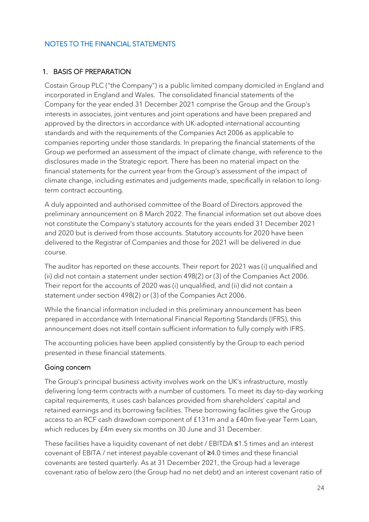## NOTES TO THE FINANCIAL STATEMENTS

## 1. BASIS OF PREPARATION

Costain Group PLC ("the Company") is a public limited company domiciled in England and incorporated in England and Wales. The consolidated financial statements of the Company for the year ended 31 December 2021 comprise the Group and the Group's interests in associates, joint ventures and joint operations and have been prepared and approved by the directors in accordance with UK-adopted international accounting standards and with the requirements of the Companies Act 2006 as applicable to companies reporting under those standards. In preparing the financial statements of the Group we performed an assessment of the impact of climate change, with reference to the disclosures made in the Strategic report. There has been no material impact on the financial statements for the current year from the Group's assessment of the impact of climate change, including estimates and judgements made, specifically in relation to longterm contract accounting.

A duly appointed and authorised committee of the Board of Directors approved the preliminary announcement on 8 March 2022. The financial information set out above does not constitute the Company's statutory accounts for the years ended 31 December 2021 and 2020 but is derived from those accounts. Statutory accounts for 2020 have been delivered to the Registrar of Companies and those for 2021 will be delivered in due course.

The auditor has reported on these accounts. Their report for 2021 was (i) unqualified and (ii) did not contain a statement under section 498(2) or (3) of the Companies Act 2006. Their report for the accounts of 2020 was (i) unqualified, and (ii) did not contain a statement under section 498(2) or (3) of the Companies Act 2006.

While the financial information included in this preliminary announcement has been prepared in accordance with International Financial Reporting Standards (IFRS), this announcement does not itself contain sufficient information to fully comply with IFRS.

The accounting policies have been applied consistently by the Group to each period presented in these financial statements.

## Going concern

The Group's principal business activity involves work on the UK's infrastructure, mostly delivering long-term contracts with a number of customers. To meet its day-to-day working capital requirements, it uses cash balances provided from shareholders' capital and retained earnings and its borrowing facilities. These borrowing facilities give the Group access to an RCF cash drawdown component of £131m and a £40m five-year Term Loan, which reduces by £4m every six months on 30 June and 31 December.

These facilities have a liquidity covenant of net debt / EBITDA ≤1.5 times and an interest covenant of EBITA / net interest payable covenant of ≥4.0 times and these financial covenants are tested quarterly. As at 31 December 2021, the Group had a leverage covenant ratio of below zero (the Group had no net debt) and an interest covenant ratio of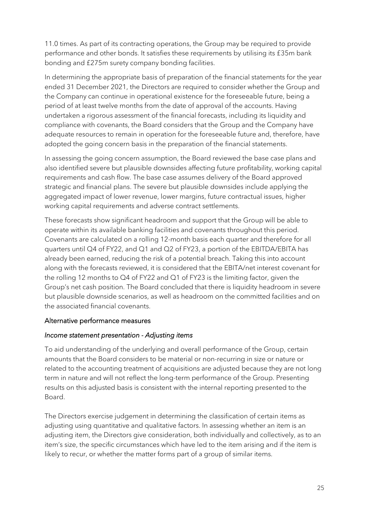11.0 times. As part of its contracting operations, the Group may be required to provide performance and other bonds. It satisfies these requirements by utilising its £35m bank bonding and £275m surety company bonding facilities.

In determining the appropriate basis of preparation of the financial statements for the year ended 31 December 2021, the Directors are required to consider whether the Group and the Company can continue in operational existence for the foreseeable future, being a period of at least twelve months from the date of approval of the accounts. Having undertaken a rigorous assessment of the financial forecasts, including its liquidity and compliance with covenants, the Board considers that the Group and the Company have adequate resources to remain in operation for the foreseeable future and, therefore, have adopted the going concern basis in the preparation of the financial statements.

In assessing the going concern assumption, the Board reviewed the base case plans and also identified severe but plausible downsides affecting future profitability, working capital requirements and cash flow. The base case assumes delivery of the Board approved strategic and financial plans. The severe but plausible downsides include applying the aggregated impact of lower revenue, lower margins, future contractual issues, higher working capital requirements and adverse contract settlements.

These forecasts show significant headroom and support that the Group will be able to operate within its available banking facilities and covenants throughout this period. Covenants are calculated on a rolling 12-month basis each quarter and therefore for all quarters until Q4 of FY22, and Q1 and Q2 of FY23, a portion of the EBITDA/EBITA has already been earned, reducing the risk of a potential breach. Taking this into account along with the forecasts reviewed, it is considered that the EBITA/net interest covenant for the rolling 12 months to Q4 of FY22 and Q1 of FY23 is the limiting factor, given the Group's net cash position. The Board concluded that there is liquidity headroom in severe but plausible downside scenarios, as well as headroom on the committed facilities and on the associated financial covenants.

### Alternative performance measures

### *Income statement presentation - Adjusting items*

To aid understanding of the underlying and overall performance of the Group, certain amounts that the Board considers to be material or non-recurring in size or nature or related to the accounting treatment of acquisitions are adjusted because they are not long term in nature and will not reflect the long-term performance of the Group. Presenting results on this adjusted basis is consistent with the internal reporting presented to the Board.

The Directors exercise judgement in determining the classification of certain items as adjusting using quantitative and qualitative factors. In assessing whether an item is an adjusting item, the Directors give consideration, both individually and collectively, as to an item's size, the specific circumstances which have led to the item arising and if the item is likely to recur, or whether the matter forms part of a group of similar items.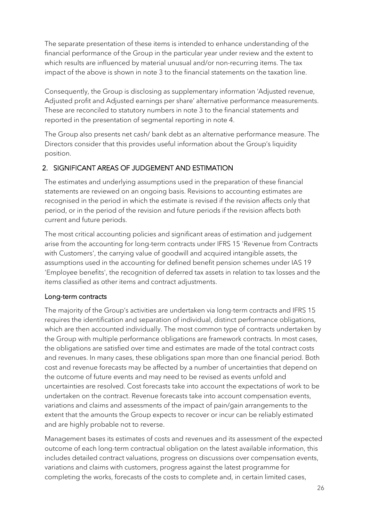The separate presentation of these items is intended to enhance understanding of the financial performance of the Group in the particular year under review and the extent to which results are influenced by material unusual and/or non-recurring items. The tax impact of the above is shown in note 3 to the financial statements on the taxation line.

Consequently, the Group is disclosing as supplementary information 'Adjusted revenue, Adjusted profit and Adjusted earnings per share' alternative performance measurements. These are reconciled to statutory numbers in note 3 to the financial statements and reported in the presentation of segmental reporting in note 4.

The Group also presents net cash/ bank debt as an alternative performance measure. The Directors consider that this provides useful information about the Group's liquidity position.

## 2. SIGNIFICANT AREAS OF JUDGEMENT AND ESTIMATION

The estimates and underlying assumptions used in the preparation of these financial statements are reviewed on an ongoing basis. Revisions to accounting estimates are recognised in the period in which the estimate is revised if the revision affects only that period, or in the period of the revision and future periods if the revision affects both current and future periods.

The most critical accounting policies and significant areas of estimation and judgement arise from the accounting for long-term contracts under IFRS 15 'Revenue from Contracts with Customers', the carrying value of goodwill and acquired intangible assets, the assumptions used in the accounting for defined benefit pension schemes under IAS 19 'Employee benefits', the recognition of deferred tax assets in relation to tax losses and the items classified as other items and contract adjustments.

## Long-term contracts

The majority of the Group's activities are undertaken via long-term contracts and IFRS 15 requires the identification and separation of individual, distinct performance obligations, which are then accounted individually. The most common type of contracts undertaken by the Group with multiple performance obligations are framework contracts. In most cases, the obligations are satisfied over time and estimates are made of the total contract costs and revenues. In many cases, these obligations span more than one financial period. Both cost and revenue forecasts may be affected by a number of uncertainties that depend on the outcome of future events and may need to be revised as events unfold and uncertainties are resolved. Cost forecasts take into account the expectations of work to be undertaken on the contract. Revenue forecasts take into account compensation events, variations and claims and assessments of the impact of pain/gain arrangements to the extent that the amounts the Group expects to recover or incur can be reliably estimated and are highly probable not to reverse.

Management bases its estimates of costs and revenues and its assessment of the expected outcome of each long-term contractual obligation on the latest available information, this includes detailed contract valuations, progress on discussions over compensation events, variations and claims with customers, progress against the latest programme for completing the works, forecasts of the costs to complete and, in certain limited cases,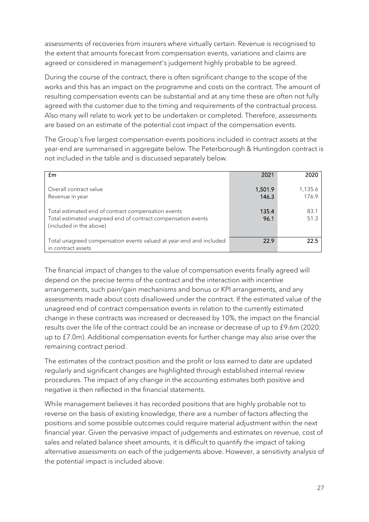assessments of recoveries from insurers where virtually certain. Revenue is recognised to the extent that amounts forecast from compensation events, variations and claims are agreed or considered in management's judgement highly probable to be agreed.

During the course of the contract, there is often significant change to the scope of the works and this has an impact on the programme and costs on the contract. The amount of resulting compensation events can be substantial and at any time these are often not fully agreed with the customer due to the timing and requirements of the contractual process. Also many will relate to work yet to be undertaken or completed. Therefore, assessments are based on an estimate of the potential cost impact of the compensation events.

The Group's five largest compensation events positions included in contract assets at the year-end are summarised in aggregate below. The Peterborough & Huntingdon contract is not included in the table and is discussed separately below.

| f <sub>m</sub>                                                                                                                                 | 2021             | 2020             |
|------------------------------------------------------------------------------------------------------------------------------------------------|------------------|------------------|
| Overall contract value<br>Revenue in year                                                                                                      | 1,501.9<br>146.3 | 1,135.6<br>176.9 |
| Total estimated end of contract compensation events<br>Total estimated unagreed end of contract compensation events<br>(included in the above) | 135.4<br>96.1    | 83.1<br>51.3     |
| Total unagreed compensation events valued at year-end and included<br>in contract assets                                                       | 22.9             | 22.5             |

The financial impact of changes to the value of compensation events finally agreed will depend on the precise terms of the contract and the interaction with incentive arrangements, such pain/gain mechanisms and bonus or KPI arrangements, and any assessments made about costs disallowed under the contract. If the estimated value of the unagreed end of contract compensation events in relation to the currently estimated change in these contracts was increased or decreased by 10%, the impact on the financial results over the life of the contract could be an increase or decrease of up to £9.6m (2020: up to £7.0m). Additional compensation events for further change may also arise over the remaining contract period.

The estimates of the contract position and the profit or loss earned to date are updated regularly and significant changes are highlighted through established internal review procedures. The impact of any change in the accounting estimates both positive and negative is then reflected in the financial statements.

While management believes it has recorded positions that are highly probable not to reverse on the basis of existing knowledge, there are a number of factors affecting the positions and some possible outcomes could require material adjustment within the next financial year. Given the pervasive impact of judgements and estimates on revenue, cost of sales and related balance sheet amounts, it is difficult to quantify the impact of taking alternative assessments on each of the judgements above. However, a sensitivity analysis of the potential impact is included above.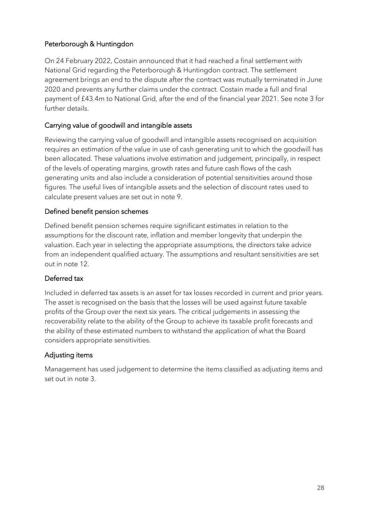## Peterborough & Huntingdon

On 24 February 2022, Costain announced that it had reached a final settlement with National Grid regarding the Peterborough & Huntingdon contract. The settlement agreement brings an end to the dispute after the contract was mutually terminated in June 2020 and prevents any further claims under the contract. Costain made a full and final payment of £43.4m to National Grid, after the end of the financial year 2021. See note 3 for further details.

## Carrying value of goodwill and intangible assets

Reviewing the carrying value of goodwill and intangible assets recognised on acquisition requires an estimation of the value in use of cash generating unit to which the goodwill has been allocated. These valuations involve estimation and judgement, principally, in respect of the levels of operating margins, growth rates and future cash flows of the cash generating units and also include a consideration of potential sensitivities around those figures. The useful lives of intangible assets and the selection of discount rates used to calculate present values are set out in note 9.

## Defined benefit pension schemes

Defined benefit pension schemes require significant estimates in relation to the assumptions for the discount rate, inflation and member longevity that underpin the valuation. Each year in selecting the appropriate assumptions, the directors take advice from an independent qualified actuary. The assumptions and resultant sensitivities are set out in note 12.

### Deferred tax

Included in deferred tax assets is an asset for tax losses recorded in current and prior years. The asset is recognised on the basis that the losses will be used against future taxable profits of the Group over the next six years. The critical judgements in assessing the recoverability relate to the ability of the Group to achieve its taxable profit forecasts and the ability of these estimated numbers to withstand the application of what the Board considers appropriate sensitivities.

## Adjusting items

Management has used judgement to determine the items classified as adjusting items and set out in note 3.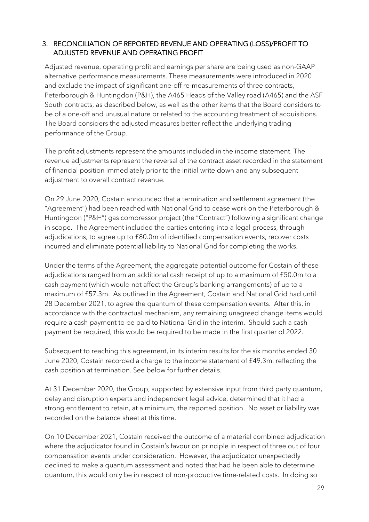## 3. RECONCILIATION OF REPORTED REVENUE AND OPERATING (LOSS)/PROFIT TO ADJUSTED REVENUE AND OPERATING PROFIT

Adjusted revenue, operating profit and earnings per share are being used as non-GAAP alternative performance measurements. These measurements were introduced in 2020 and exclude the impact of significant one-off re-measurements of three contracts, Peterborough & Huntingdon (P&H), the A465 Heads of the Valley road (A465) and the ASF South contracts, as described below, as well as the other items that the Board considers to be of a one-off and unusual nature or related to the accounting treatment of acquisitions. The Board considers the adjusted measures better reflect the underlying trading performance of the Group.

The profit adjustments represent the amounts included in the income statement. The revenue adjustments represent the reversal of the contract asset recorded in the statement of financial position immediately prior to the initial write down and any subsequent adjustment to overall contract revenue.

On 29 June 2020, Costain announced that a termination and settlement agreement (the "Agreement") had been reached with National Grid to cease work on the Peterborough & Huntingdon ("P&H") gas compressor project (the "Contract") following a significant change in scope. The Agreement included the parties entering into a legal process, through adjudications, to agree up to £80.0m of identified compensation events, recover costs incurred and eliminate potential liability to National Grid for completing the works.

Under the terms of the Agreement, the aggregate potential outcome for Costain of these adjudications ranged from an additional cash receipt of up to a maximum of £50.0m to a cash payment (which would not affect the Group's banking arrangements) of up to a maximum of £57.3m. As outlined in the Agreement, Costain and National Grid had until 28 December 2021, to agree the quantum of these compensation events. After this, in accordance with the contractual mechanism, any remaining unagreed change items would require a cash payment to be paid to National Grid in the interim. Should such a cash payment be required, this would be required to be made in the first quarter of 2022.

Subsequent to reaching this agreement, in its interim results for the six months ended 30 June 2020, Costain recorded a charge to the income statement of £49.3m, reflecting the cash position at termination. See below for further details.

At 31 December 2020, the Group, supported by extensive input from third party quantum, delay and disruption experts and independent legal advice, determined that it had a strong entitlement to retain, at a minimum, the reported position. No asset or liability was recorded on the balance sheet at this time.

On 10 December 2021, Costain received the outcome of a material combined adjudication where the adjudicator found in Costain's favour on principle in respect of three out of four compensation events under consideration. However, the adjudicator unexpectedly declined to make a quantum assessment and noted that had he been able to determine quantum, this would only be in respect of non-productive time-related costs. In doing so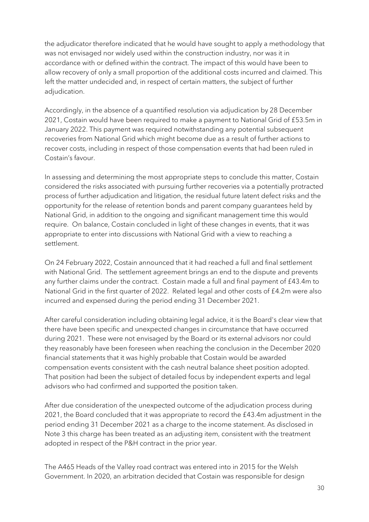the adjudicator therefore indicated that he would have sought to apply a methodology that was not envisaged nor widely used within the construction industry, nor was it in accordance with or defined within the contract. The impact of this would have been to allow recovery of only a small proportion of the additional costs incurred and claimed. This left the matter undecided and, in respect of certain matters, the subject of further adjudication.

Accordingly, in the absence of a quantified resolution via adjudication by 28 December 2021, Costain would have been required to make a payment to National Grid of £53.5m in January 2022. This payment was required notwithstanding any potential subsequent recoveries from National Grid which might become due as a result of further actions to recover costs, including in respect of those compensation events that had been ruled in Costain's favour.

In assessing and determining the most appropriate steps to conclude this matter, Costain considered the risks associated with pursuing further recoveries via a potentially protracted process of further adjudication and litigation, the residual future latent defect risks and the opportunity for the release of retention bonds and parent company guarantees held by National Grid, in addition to the ongoing and significant management time this would require. On balance, Costain concluded in light of these changes in events, that it was appropriate to enter into discussions with National Grid with a view to reaching a settlement.

On 24 February 2022, Costain announced that it had reached a full and final settlement with National Grid. The settlement agreement brings an end to the dispute and prevents any further claims under the contract. Costain made a full and final payment of £43.4m to National Grid in the first quarter of 2022. Related legal and other costs of £4.2m were also incurred and expensed during the period ending 31 December 2021.

After careful consideration including obtaining legal advice, it is the Board's clear view that there have been specific and unexpected changes in circumstance that have occurred during 2021. These were not envisaged by the Board or its external advisors nor could they reasonably have been foreseen when reaching the conclusion in the December 2020 financial statements that it was highly probable that Costain would be awarded compensation events consistent with the cash neutral balance sheet position adopted. That position had been the subject of detailed focus by independent experts and legal advisors who had confirmed and supported the position taken.

After due consideration of the unexpected outcome of the adjudication process during 2021, the Board concluded that it was appropriate to record the £43.4m adjustment in the period ending 31 December 2021 as a charge to the income statement. As disclosed in Note 3 this charge has been treated as an adjusting item, consistent with the treatment adopted in respect of the P&H contract in the prior year.

The A465 Heads of the Valley road contract was entered into in 2015 for the Welsh Government. In 2020, an arbitration decided that Costain was responsible for design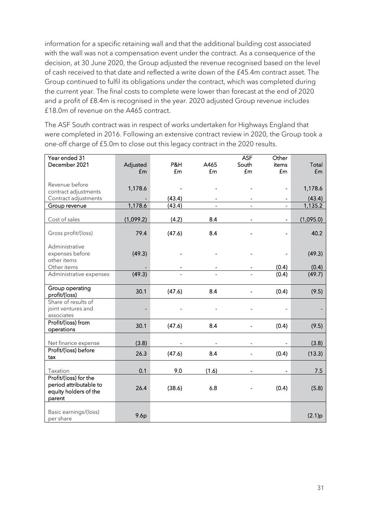information for a specific retaining wall and that the additional building cost associated with the wall was not a compensation event under the contract. As a consequence of the decision, at 30 June 2020, the Group adjusted the revenue recognised based on the level of cash received to that date and reflected a write down of the £45.4m contract asset. The Group continued to fulfil its obligations under the contract, which was completed during the current year. The final costs to complete were lower than forecast at the end of 2020 and a profit of £8.4m is recognised in the year. 2020 adjusted Group revenue includes £18.0m of revenue on the A465 contract.

The ASF South contract was in respect of works undertaken for Highways England that were completed in 2016. Following an extensive contract review in 2020, the Group took a one-off charge of £5.0m to close out this legacy contract in the 2020 results.

| Year ended 31                                             |           |        |                          | <b>ASF</b>     | Other                    |           |
|-----------------------------------------------------------|-----------|--------|--------------------------|----------------|--------------------------|-----------|
| December 2021                                             | Adjusted  | P&H    | A465                     | South          | items                    | Total     |
|                                                           | £m        | £m     | £m                       | f <sub>m</sub> | £m                       | £m        |
|                                                           |           |        |                          |                |                          |           |
| Revenue before                                            | 1,178.6   |        |                          |                | $\overline{\phantom{0}}$ | 1,178.6   |
| contract adjustments                                      |           |        |                          |                |                          |           |
| Contract adjustments                                      |           | (43.4) | $\overline{\phantom{a}}$ |                | $\frac{1}{2}$            | (43.4)    |
| Group revenue                                             | 1,178.6   | (43.4) | $\blacksquare$           |                | $\blacksquare$           | 1,135.2   |
| Cost of sales                                             | (1,099.2) | (4.2)  | 8.4                      |                | $\frac{1}{2}$            | (1,095.0) |
| Gross profit/(loss)                                       | 79.4      | (47.6) | 8.4                      |                |                          | 40.2      |
| Administrative                                            |           |        |                          |                |                          |           |
| expenses before<br>other items                            | (49.3)    |        |                          |                |                          | (49.3)    |
| Other items                                               |           |        |                          |                | (0.4)                    | (0.4)     |
| Administrative expenses                                   | (49.3)    |        |                          |                | (0.4)                    | (49.7)    |
| Group operating<br>profit/(loss)                          | 30.1      | (47.6) | 8.4                      |                | (0.4)                    | (9.5)     |
| Share of results of<br>joint ventures and<br>associates   |           |        |                          |                |                          |           |
| Profit/(loss) from<br>operations                          | 30.1      | (47.6) | 8.4                      |                | (0.4)                    | (9.5)     |
| Net finance expense                                       | (3.8)     |        |                          |                |                          | (3.8)     |
| Profit/(loss) before<br>tax                               | 26.3      | (47.6) | 8.4                      |                | (0.4)                    | (13.3)    |
| Taxation                                                  | 0.1       | 9.0    | (1.6)                    |                |                          | 7.5       |
| Profit/(loss) for the                                     |           |        |                          |                |                          |           |
| period attributable to<br>equity holders of the<br>parent | 26.4      | (38.6) | 6.8                      |                | (0.4)                    | (5.8)     |
| Basic earnings/(loss)<br>per share                        | 9.6p      |        |                          |                |                          | (2.1)p    |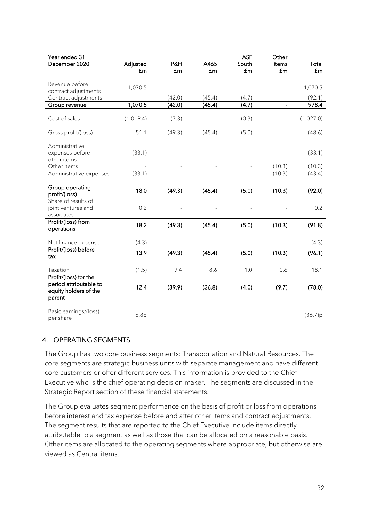| Year ended 31<br>December 2020                            |                       |           | A465   | <b>ASF</b><br>South | Other                   |             |
|-----------------------------------------------------------|-----------------------|-----------|--------|---------------------|-------------------------|-------------|
|                                                           | Adjusted<br><b>fm</b> | P&H<br>£m | £m     | £m                  | items<br>f <sub>m</sub> | Total<br>£m |
|                                                           |                       |           |        |                     |                         |             |
| Revenue before                                            | 1,070.5               |           |        |                     |                         | 1,070.5     |
| contract adjustments                                      |                       |           |        |                     |                         |             |
| Contract adjustments                                      |                       | (42.0)    | (45.4) | (4.7)               |                         | (92.1)      |
| Group revenue                                             | 1,070.5               | (42.0)    | (45.4) | (4.7)               |                         | 978.4       |
| Cost of sales                                             | (1,019.4)             | (7.3)     |        | (0.3)               |                         | (1,027.0)   |
| Gross profit/(loss)                                       | 51.1                  | (49.3)    | (45.4) | (5.0)               |                         | (48.6)      |
| Administrative                                            |                       |           |        |                     |                         |             |
| expenses before                                           | (33.1)                |           |        |                     |                         | (33.1)      |
| other items                                               |                       |           |        |                     |                         |             |
| Other items                                               |                       |           |        |                     | (10.3)                  | (10.3)      |
| Administrative expenses                                   | (33.1)                |           |        |                     | (10.3)                  | (43.4)      |
| Group operating<br>profit/(loss)                          | 18.0                  | (49.3)    | (45.4) | (5.0)               | (10.3)                  | (92.0)      |
| Share of results of<br>joint ventures and                 | 0.2                   |           |        |                     |                         | 0.2         |
| associates                                                |                       |           |        |                     |                         |             |
| Profit/(loss) from<br>operations                          | 18.2                  | (49.3)    | (45.4) | (5.0)               | (10.3)                  | (91.8)      |
| Net finance expense                                       | (4.3)                 |           |        |                     |                         | (4.3)       |
| Profit/(loss) before<br>tax                               | 13.9                  | (49.3)    | (45.4) | (5.0)               | (10.3)                  | (96.1)      |
| Taxation                                                  | (1.5)                 | 9.4       | 8.6    | 1.0                 | 0.6                     | 18.1        |
| Profit/(loss) for the                                     |                       |           |        |                     |                         |             |
| period attributable to<br>equity holders of the<br>parent | 12.4                  | (39.9)    | (36.8) | (4.0)               | (9.7)                   | (78.0)      |
| Basic earnings/(loss)<br>per share                        | 5.8p                  |           |        |                     |                         | (36.7)p     |

## 4. OPERATING SEGMENTS

The Group has two core business segments: Transportation and Natural Resources. The core segments are strategic business units with separate management and have different core customers or offer different services. This information is provided to the Chief Executive who is the chief operating decision maker. The segments are discussed in the Strategic Report section of these financial statements.

The Group evaluates segment performance on the basis of profit or loss from operations before interest and tax expense before and after other items and contract adjustments. The segment results that are reported to the Chief Executive include items directly attributable to a segment as well as those that can be allocated on a reasonable basis. Other items are allocated to the operating segments where appropriate, but otherwise are viewed as Central items.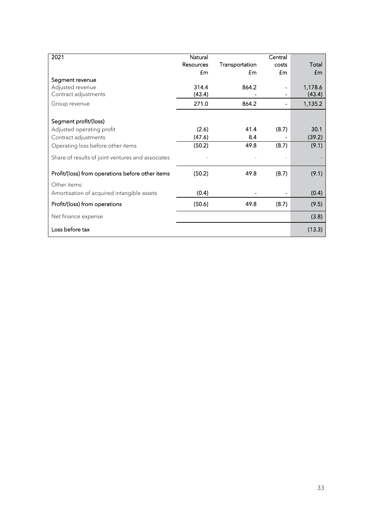| 2021                                              | Natural   |                | Central |              |
|---------------------------------------------------|-----------|----------------|---------|--------------|
|                                                   | Resources | Transportation | costs   | Total        |
|                                                   | £m        | £m             | £m      | $\mathbf{f}$ |
| Segment revenue                                   |           |                |         |              |
| Adjusted revenue                                  | 314.4     | 864.2          |         | 1,178.6      |
| Contract adjustments                              | (43.4)    |                |         | (43.4)       |
| Group revenue                                     | 271.0     | 864.2          |         | 1,135.2      |
| Segment profit/(loss)                             |           |                |         |              |
| Adjusted operating profit                         | (2.6)     | 41.4           | (8.7)   | 30.1         |
| Contract adjustments                              | (47.6)    | 8.4            |         | (39.2)       |
| Operating loss before other items                 | (50.2)    | 49.8           | (8.7)   | (9.1)        |
| Share of results of joint ventures and associates |           |                |         |              |
| Profit/(loss) from operations before other items  | (50.2)    | 49.8           | (8.7)   | (9.1)        |
| Other items:                                      |           |                |         |              |
| Amortisation of acquired intangible assets        | (0.4)     |                |         | (0.4)        |
| Profit/(loss) from operations                     | (50.6)    | 49.8           | (8.7)   | (9.5)        |
| Net finance expense                               |           |                |         | (3.8)        |
| Loss before tax                                   |           |                |         | (13.3)       |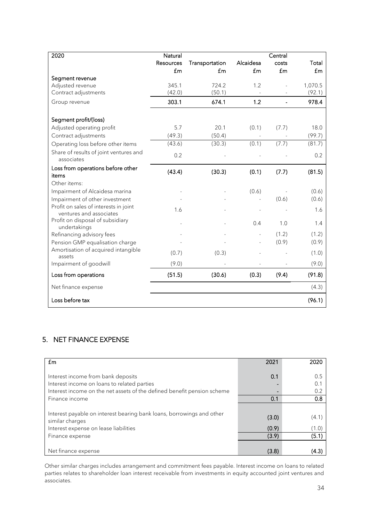| 2020                                                             | Natural          |                |           | Central |         |
|------------------------------------------------------------------|------------------|----------------|-----------|---------|---------|
|                                                                  | <b>Resources</b> | Transportation | Alcaidesa | costs   | Total   |
|                                                                  | £m               | £m             | £m        | £m      | £m      |
| Segment revenue                                                  |                  |                |           |         |         |
| Adjusted revenue                                                 | 345.1            | 724.2          | 1.2       |         | 1,070.5 |
| Contract adjustments                                             | (42.0)           | (50.1)         |           |         | (92.1)  |
| Group revenue                                                    | 303.1            | 674.1          | 1.2       |         | 978.4   |
| Segment profit/(loss)                                            |                  |                |           |         |         |
| Adjusted operating profit                                        | 5.7              | 20.1           | (0.1)     | (7.7)   | 18.0    |
| Contract adjustments                                             | (49.3)           | (50.4)         |           |         | (99.7)  |
|                                                                  |                  |                |           |         |         |
| Operating loss before other items                                | (43.6)           | (30.3)         | (0.1)     | (7.7)   | (81.7)  |
| Share of results of joint ventures and<br>associates             | 0.2              |                |           |         | 0.2     |
| Loss from operations before other                                | (43.4)           | (30.3)         | (0.1)     | (7.7)   | (81.5)  |
| items                                                            |                  |                |           |         |         |
| Other items:                                                     |                  |                |           |         |         |
| Impairment of Alcaidesa marina                                   |                  |                | (0.6)     |         | (0.6)   |
| Impairment of other investment                                   |                  |                |           | (0.6)   | (0.6)   |
| Profit on sales of interests in joint<br>ventures and associates | 1.6              |                |           |         | 1.6     |
| Profit on disposal of subsidiary<br>undertakings                 |                  |                | 0.4       | 1.0     | 1.4     |
| Refinancing advisory fees                                        |                  |                |           | (1.2)   | (1.2)   |
| Pension GMP equalisation charge                                  |                  |                |           | (0.9)   | (0.9)   |
| Amortisation of acquired intangible<br>assets                    | (0.7)            | (0.3)          |           |         | (1.0)   |
| Impairment of goodwill                                           | (9.0)            |                |           |         | (9.0)   |
| Loss from operations                                             | (51.5)           | (30.6)         | (0.3)     | (9.4)   | (91.8)  |
| Net finance expense                                              |                  |                |           |         | (4.3)   |
| Loss before tax                                                  |                  |                |           |         | (96.1)  |

# 5. NET FINANCE EXPENSE

| fm                                                                                                                                                           | 2021  | 2020             |
|--------------------------------------------------------------------------------------------------------------------------------------------------------------|-------|------------------|
| Interest income from bank deposits<br>Interest income on loans to related parties<br>Interest income on the net assets of the defined benefit pension scheme | 0.1   | 0.5<br>0.<br>0.2 |
| Finance income                                                                                                                                               | 0.1   | 0.8              |
| Interest payable on interest bearing bank loans, borrowings and other<br>similar charges                                                                     | (3.0) | (4.1)            |
| Interest expense on lease liabilities                                                                                                                        | (0.9) | (1.0)            |
| Finance expense                                                                                                                                              | (3.9) | (5.1)            |
| Net finance expense                                                                                                                                          | (3.8) | (4.3)            |

Other similar charges includes arrangement and commitment fees payable. Interest income on loans to related parties relates to shareholder loan interest receivable from investments in equity accounted joint ventures and associates.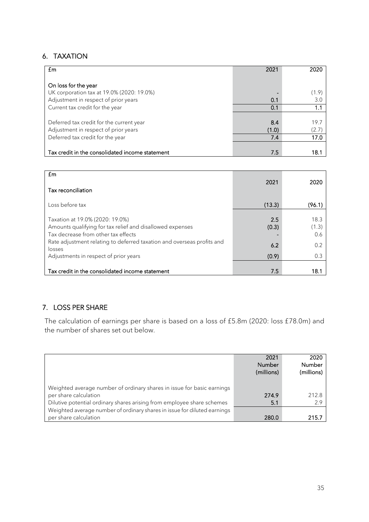## 6. TAXATION

| £m                                              | 2021  | 2020  |
|-------------------------------------------------|-------|-------|
| On loss for the year                            |       |       |
| UK corporation tax at 19.0% (2020: 19.0%)       |       | (1.9) |
| Adjustment in respect of prior years            | 0.1   | 3.0   |
| Current tax credit for the year                 | 0.1   | 1.1   |
|                                                 |       |       |
| Deferred tax credit for the current year        | 8.4   | 19.7  |
| Adjustment in respect of prior years            | (1.0) | (2.7) |
| Deferred tax credit for the year                | 7.4   | 17.0  |
|                                                 |       |       |
| Tax credit in the consolidated income statement | 7.5   | 18.1  |

| £m                                                                                                                                                                                                                                                               |                              |                                    |
|------------------------------------------------------------------------------------------------------------------------------------------------------------------------------------------------------------------------------------------------------------------|------------------------------|------------------------------------|
| Tax reconciliation                                                                                                                                                                                                                                               | 2021                         | 2020                               |
| Loss before tax                                                                                                                                                                                                                                                  | (13.3)                       | (96.1)                             |
| Taxation at 19.0% (2020: 19.0%)<br>Amounts qualifying for tax relief and disallowed expenses<br>Tax decrease from other tax effects<br>Rate adjustment relating to deferred taxation and overseas profits and<br>losses<br>Adjustments in respect of prior years | 2.5<br>(0.3)<br>6.2<br>(0.9) | 18.3<br>(1.3)<br>0.6<br>0.2<br>0.3 |
| Tax credit in the consolidated income statement                                                                                                                                                                                                                  | 7.5                          | 18.1                               |

## 7. LOSS PER SHARE

The calculation of earnings per share is based on a loss of £5.8m (2020: loss £78.0m) and the number of shares set out below.

|                                                                                                                                                                           | 2021<br>Number<br>(millions) | 2020<br>Number<br>(millions) |
|---------------------------------------------------------------------------------------------------------------------------------------------------------------------------|------------------------------|------------------------------|
| Weighted average number of ordinary shares in issue for basic earnings<br>per share calculation<br>Dilutive potential ordinary shares arising from employee share schemes | 274.9<br>5.1                 | 212.8<br>2.9                 |
| Weighted average number of ordinary shares in issue for diluted earnings<br>per share calculation                                                                         | 280.0                        | 215.7                        |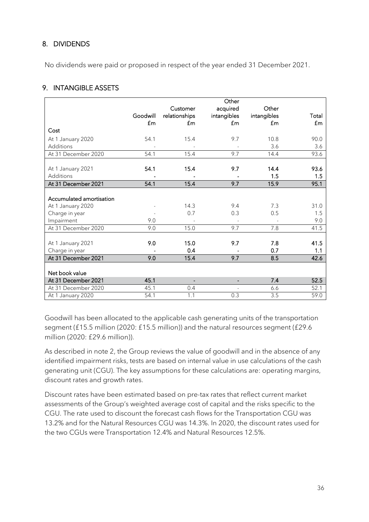## 8. DIVIDENDS

No dividends were paid or proposed in respect of the year ended 31 December 2021.

## 9. INTANGIBLE ASSETS

|                          |               |                | Other                    |             |       |
|--------------------------|---------------|----------------|--------------------------|-------------|-------|
|                          |               | Customer       | acquired                 | Other       |       |
|                          | Goodwill      | relationships  | intangibles              | intangibles | Total |
|                          | $\mathsf{fm}$ | £m             | £m                       | £m          | £m    |
| Cost                     |               |                |                          |             |       |
| At 1 January 2020        | 54.1          | 15.4           | 9.7                      | 10.8        | 90.0  |
| <b>Additions</b>         |               |                |                          | 3.6         | 3.6   |
| At 31 December 2020      | 54.1          | 15.4           | 9.7                      | 14.4        | 93.6  |
|                          |               |                |                          |             |       |
| At 1 January 2021        | 54.1          | 15.4           | 9.7                      | 14.4        | 93.6  |
| Additions                |               |                |                          | 1.5         | 1.5   |
| At 31 December 2021      | 54.1          | 15.4           | 9.7                      | 15.9        | 95.1  |
|                          |               |                |                          |             |       |
| Accumulated amortisation |               |                |                          |             |       |
| At 1 January 2020        |               | 14.3           | 9.4                      | 7.3         | 31.0  |
| Charge in year           |               | 0.7            | 0.3                      | 0.5         | 1.5   |
| Impairment               | 9.0           |                |                          |             | 9.0   |
| At 31 December 2020      | 9.0           | 15.0           | 9.7                      | 7.8         | 41.5  |
|                          |               |                |                          |             |       |
| At 1 January 2021        | 9.0           | 15.0           | 9.7                      | 7.8         | 41.5  |
| Charge in year           |               | 0.4            |                          | 0.7         | 1.1   |
| At 31 December 2021      | 9.0           | 15.4           | 9.7                      | 8.5         | 42.6  |
|                          |               |                |                          |             |       |
| Net book value           |               |                |                          |             |       |
| At 31 December 2021      | 45.1          | $\blacksquare$ | $\overline{\phantom{0}}$ | 7.4         | 52.5  |
| At 31 December 2020      | 45.1          | 0.4            |                          | 6.6         | 52.1  |
| At 1 January 2020        | 54.1          | 1.1            | 0.3                      | 3.5         | 59.0  |

Goodwill has been allocated to the applicable cash generating units of the transportation segment (£15.5 million (2020: £15.5 million)) and the natural resources segment (£29.6 million (2020: £29.6 million)).

As described in note 2, the Group reviews the value of goodwill and in the absence of any identified impairment risks, tests are based on internal value in use calculations of the cash generating unit (CGU). The key assumptions for these calculations are: operating margins, discount rates and growth rates.

Discount rates have been estimated based on pre-tax rates that reflect current market assessments of the Group's weighted average cost of capital and the risks specific to the CGU. The rate used to discount the forecast cash flows for the Transportation CGU was 13.2% and for the Natural Resources CGU was 14.3%. In 2020, the discount rates used for the two CGUs were Transportation 12.4% and Natural Resources 12.5%.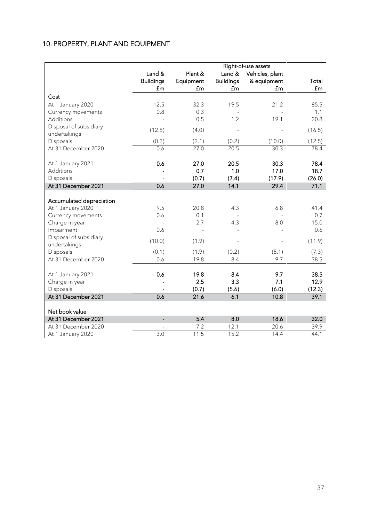## 10. PROPERTY, PLANT AND EQUIPMENT

|                                        | Right-of-use assets |           |                  |                 |        |
|----------------------------------------|---------------------|-----------|------------------|-----------------|--------|
|                                        | Land &              | Plant &   | Land &           | Vehicles, plant |        |
|                                        | <b>Buildings</b>    | Equipment | <b>Buildings</b> | & equipment     | Total  |
|                                        | £m                  | £m        | £m               | £m              | £m     |
| Cost                                   |                     |           |                  |                 |        |
| At 1 January 2020                      | 12.5                | 32.3      | 19.5             | 21.2            | 85.5   |
| Currency movements                     | 0.8                 | 0.3       |                  |                 | 1.1    |
| Additions                              |                     | 0.5       | 1.2              | 19.1            | 20.8   |
| Disposal of subsidiary<br>undertakings | (12.5)              | (4.0)     |                  |                 | (16.5) |
| Disposals                              | (0.2)               | (2.1)     | (0.2)            | (10.0)          | (12.5) |
| At 31 December 2020                    | 0.6                 | 27.0      | 20.5             | 30.3            | 78.4   |
|                                        |                     |           |                  |                 |        |
| At 1 January 2021                      | 0.6                 | 27.0      | 20.5             | 30.3            | 78.4   |
| Additions                              |                     | 0.7       | 1.0              | 17.0            | 18.7   |
| Disposals                              |                     | (0.7)     | (7.4)            | (17.9)          | (26.0) |
| At 31 December 2021                    | 0.6                 | 27.0      | 14.1             | 29.4            | 71.1   |
| Accumulated depreciation               |                     |           |                  |                 |        |
| At 1 January 2020                      | 9.5                 | 20.8      | 4.3              | 6.8             | 41.4   |
| Currency movements                     | 0.6                 | 0.1       |                  |                 | 0.7    |
| Charge in year                         |                     | 2.7       | 4.3              | 8.0             | 15.0   |
| Impairment                             | 0.6                 |           |                  |                 | 0.6    |
| Disposal of subsidiary<br>undertakings | (10.0)              | (1.9)     |                  |                 | (11.9) |
| Disposals                              | (0.1)               | (1.9)     | (0.2)            | (5.1)           | (7.3)  |
| At 31 December 2020                    | 0.6                 | 19.8      | 8.4              | 9.7             | 38.5   |
| At 1 January 2021                      | 0.6                 | 19.8      | 8.4              | 9.7             | 38.5   |
| Charge in year                         |                     | 2.5       | 3.3              | 7.1             | 12.9   |
| Disposals                              |                     | (0.7)     | (5.6)            | (6.0)           | (12.3) |
| At 31 December 2021                    | 0.6                 | 21.6      | 6.1              | 10.8            | 39.1   |
| Net book value                         |                     |           |                  |                 |        |
| At 31 December 2021                    | $\overline{a}$      | 5.4       | 8.0              | 18.6            | 32.0   |
| At 31 December 2020                    |                     | 7.2       | 12.1             | 20.6            | 39.9   |
| At 1 January 2020                      | 3.0                 | 11.5      | 15.2             | 14.4            | 44.1   |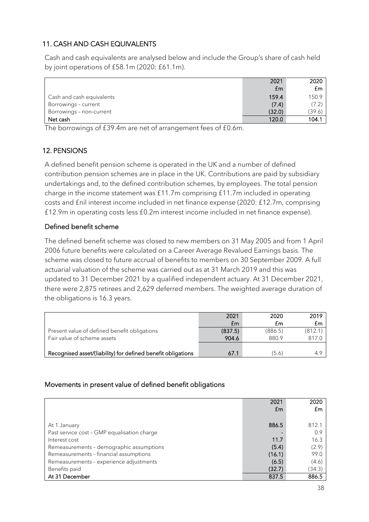## 11. CASH AND CASH EQUIVALENTS

Cash and cash equivalents are analysed below and include the Group's share of cash held by joint operations of £58.1m (2020: £61.1m).

|                           | 2021   | 2020   |
|---------------------------|--------|--------|
|                           | £m     | £m     |
| Cash and cash equivalents | 159.4  | 150.9  |
| Borrowings - current      | (7.4)  | (7.2)  |
| Borrowings - non-current  | (32.0) | (39.6) |
| Net cash                  | 120.0  | 104.1  |

The borrowings of £39.4m are net of arrangement fees of £0.6m.

## 12. PENSIONS

A defined benefit pension scheme is operated in the UK and a number of defined contribution pension schemes are in place in the UK. Contributions are paid by subsidiary undertakings and, to the defined contribution schemes, by employees. The total pension charge in the income statement was £11.7m comprising £11.7m included in operating costs and £nil interest income included in net finance expense (2020: £12.7m, comprising £12.9m in operating costs less £0.2m interest income included in net finance expense).

## Defined benefit scheme

The defined benefit scheme was closed to new members on 31 May 2005 and from 1 April 2006 future benefits were calculated on a Career Average Revalued Earnings basis. The scheme was closed to future accrual of benefits to members on 30 September 2009. A full actuarial valuation of the scheme was carried out as at 31 March 2019 and this was updated to 31 December 2021 by a qualified independent actuary. At 31 December 2021, there were 2,875 retirees and 2,629 deferred members. The weighted average duration of the obligations is 16.3 years.

|                                                              | 2021        | 2020    | 2019    |
|--------------------------------------------------------------|-------------|---------|---------|
|                                                              | $f_{\rm m}$ | £m      | £m      |
| Present value of defined benefit obligations                 | (837.5)     | (886.5) | (812.1) |
| Fair value of scheme assets                                  | 904.6       | 880.9   | 817.0   |
|                                                              |             |         |         |
| Recognised asset/(liability) for defined benefit obligations | 67.1        | (5.6)   | 4.9     |

## Movements in present value of defined benefit obligations

|                                             | 2021<br>£m | 2020<br>£m |
|---------------------------------------------|------------|------------|
|                                             |            |            |
| At 1 January                                | 886.5      | 812.1      |
| Past service cost - GMP equalisation charge |            | 0.9        |
| Interest cost                               | 11.7       | 16.3       |
| Remeasurements - demographic assumptions    | (5.4)      | (2.9)      |
| Remeasurements - financial assumptions      | (16.1)     | 99.0       |
| Remeasurements - experience adjustments     | (6.5)      | (4.6)      |
| Benefits paid                               | (32.7)     | (34.3)     |
| At 31 December                              | 837.5      | 886.5      |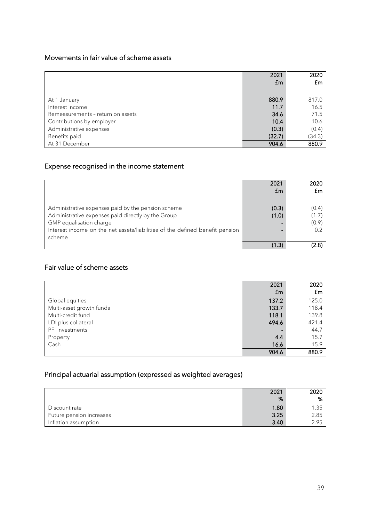## Movements in fair value of scheme assets

|                                   | 2021<br>£m | 2020<br>£m |
|-----------------------------------|------------|------------|
|                                   |            |            |
| At 1 January                      | 880.9      | 817.0      |
| Interest income                   | 11.7       | 16.5       |
| Remeasurements - return on assets | 34.6       | 71.5       |
| Contributions by employer         | 10.4       | 10.6       |
| Administrative expenses           | (0.3)      | (0.4)      |
| Benefits paid                     | (32.7)     | (34.3)     |
| At 31 December                    | 904.6      | 880.9      |

## Expense recognised in the income statement

|                                                                              | 2021  | 2020  |
|------------------------------------------------------------------------------|-------|-------|
|                                                                              | £m    | £m    |
|                                                                              |       |       |
| Administrative expenses paid by the pension scheme                           | (0.3) | (0.4) |
| Administrative expenses paid directly by the Group                           | (1.0) | (1.7) |
| GMP equalisation charge                                                      |       | (0.9) |
| Interest income on the net assets/liabilities of the defined benefit pension |       | 0.2   |
| scheme                                                                       |       |       |
|                                                                              | (1.3) | (2.8) |

## Fair value of scheme assets

|                          | 2021        | 2020  |
|--------------------------|-------------|-------|
|                          | $f_{\rm m}$ | £m    |
| Global equities          | 137.2       | 125.0 |
| Multi-asset growth funds | 133.7       | 118.4 |
| Multi-credit fund        | 118.1       | 139.8 |
| LDI plus collateral      | 494.6       | 421.4 |
| PFI Investments          |             | 44.7  |
| Property                 | 4.4         | 15.7  |
| Cash                     | 16.6        | 15.9  |
|                          | 904.6       | 880.9 |

# Principal actuarial assumption (expressed as weighted averages)

|                          | 2021<br>% | 2020<br>% |
|--------------------------|-----------|-----------|
| Discount rate            | 1.80      | 1.35      |
| Future pension increases | 3.25      | 2.85      |
| Inflation assumption     | 3.40      | 2.95      |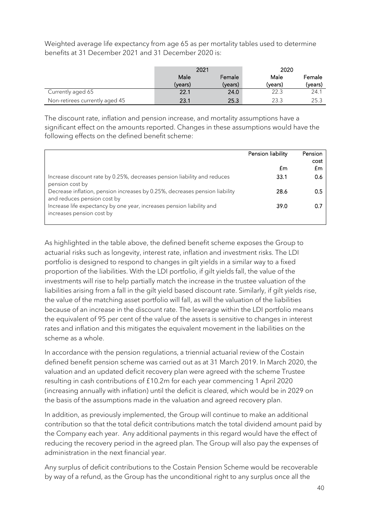Weighted average life expectancy from age 65 as per mortality tables used to determine benefits at 31 December 2021 and 31 December 2020 is:

|                                | 2021    |         | 2020    |         |
|--------------------------------|---------|---------|---------|---------|
|                                | Male    | Female  | Male    | Female  |
|                                | (years) | (years) | (years) | (years) |
| Currently aged 65              | 22.1    | 24.0    | 22.3    | 24.1    |
| Non-retirees currently aged 45 | 23.1    | 25.3    | 23.3    | 25.3    |

The discount rate, inflation and pension increase, and mortality assumptions have a significant effect on the amounts reported. Changes in these assumptions would have the following effects on the defined benefit scheme:

|                                                                                                            | Pension liability | Pension |
|------------------------------------------------------------------------------------------------------------|-------------------|---------|
|                                                                                                            |                   | cost    |
|                                                                                                            | £m                | £m      |
| Increase discount rate by 0.25%, decreases pension liability and reduces<br>pension cost by                | 33.1              | 0.6     |
| Decrease inflation, pension increases by 0.25%, decreases pension liability<br>and reduces pension cost by | 28.6              | 0.5     |
| Increase life expectancy by one year, increases pension liability and<br>increases pension cost by         | 39.0              | 0.      |

As highlighted in the table above, the defined benefit scheme exposes the Group to actuarial risks such as longevity, interest rate, inflation and investment risks. The LDI portfolio is designed to respond to changes in gilt yields in a similar way to a fixed proportion of the liabilities. With the LDI portfolio, if gilt yields fall, the value of the investments will rise to help partially match the increase in the trustee valuation of the liabilities arising from a fall in the gilt yield based discount rate. Similarly, if gilt yields rise, the value of the matching asset portfolio will fall, as will the valuation of the liabilities because of an increase in the discount rate. The leverage within the LDI portfolio means the equivalent of 95 per cent of the value of the assets is sensitive to changes in interest rates and inflation and this mitigates the equivalent movement in the liabilities on the scheme as a whole.

In accordance with the pension regulations, a triennial actuarial review of the Costain defined benefit pension scheme was carried out as at 31 March 2019. In March 2020, the valuation and an updated deficit recovery plan were agreed with the scheme Trustee resulting in cash contributions of £10.2m for each year commencing 1 April 2020 (increasing annually with inflation) until the deficit is cleared, which would be in 2029 on the basis of the assumptions made in the valuation and agreed recovery plan.

In addition, as previously implemented, the Group will continue to make an additional contribution so that the total deficit contributions match the total dividend amount paid by the Company each year. Any additional payments in this regard would have the effect of reducing the recovery period in the agreed plan. The Group will also pay the expenses of administration in the next financial year.

Any surplus of deficit contributions to the Costain Pension Scheme would be recoverable by way of a refund, as the Group has the unconditional right to any surplus once all the